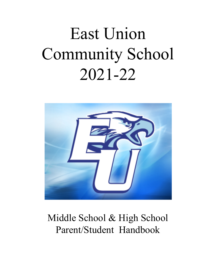# East Union Community School 2021-22



## Middle School & High School Parent/Student Handbook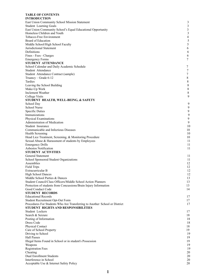#### **TABLE OF CONTENTS**

#### **INTRODUCTION**

| East Union Community School Mission Statement                                         | 3                   |
|---------------------------------------------------------------------------------------|---------------------|
| <b>Student Learning Goals</b>                                                         | 3                   |
| East Union Community School's Equal Educational Opportunity                           | 3                   |
| Homeless Children and Youth<br>Tobacco-Free Environment                               | 3<br>$\overline{4}$ |
| Board of Education                                                                    | $\sqrt{5}$          |
| Middle School/High School Faculty                                                     | 5                   |
| Jurisdictional Statement                                                              | 6                   |
| Definitions                                                                           | 6                   |
| Fines - Fees - Charges                                                                | 6                   |
| <b>Emergency Forms</b>                                                                | 7                   |
| STUDENT ATTENDANCE                                                                    |                     |
| School Calendar and Daily Academic Schedule                                           | 7                   |
| Student Attendance                                                                    | $\tau$              |
| Student Attendance Contract (sample)                                                  | $\boldsymbol{7}$    |
| Truancy – Grade 6-12<br>Tardies                                                       | $8\,$<br>8          |
| Leaving the School Building                                                           | 8                   |
| Make-Up Work                                                                          | $\,$ 8 $\,$         |
| Inclement Weather                                                                     | $\,8\,$             |
| College Visits                                                                        | 9                   |
| STUDENT HEALTH, WELL-BEING, & SAFETY                                                  |                     |
| School Day                                                                            | 9                   |
| School Nurse                                                                          | 9                   |
| <b>Specific Duties</b>                                                                | 9                   |
| Immunizations                                                                         | 9                   |
| Physical Examinations                                                                 | $\mathbf{9}$        |
| Administration of Medication                                                          | 9                   |
| Student Insurance                                                                     | 10                  |
| Communicable and Infectious Diseases                                                  | 10                  |
| <b>Health Screening</b><br>Head Lice Treatment, Screening, & Monitoring Procedure     | 10<br>10            |
| Sexual Abuse & Harassment of students by Employees                                    | 11                  |
| <b>Emergency Drills</b>                                                               | 11                  |
| Asbestos Notification                                                                 | 11                  |
| <b>STUDENT ACTIVITIES</b>                                                             |                     |
| General Statement                                                                     | 11                  |
| School Sponsored Student Organizations                                                | 11                  |
| Assemblies                                                                            | 12                  |
| Field Trips                                                                           | 12                  |
| Extracurricular B                                                                     | 12                  |
| <b>High School Dances</b>                                                             | 12                  |
| Middle School Parties & Dances                                                        | 13                  |
| Student Council/Class Officers/Middle School Action Planners                          | 13                  |
| Protection of students from Concussions/Brain Injury Information<br>Good Conduct Code | 13<br>14            |
| <b>STUDENT RECORDS</b>                                                                |                     |
| <b>Educational Records</b>                                                            | 17                  |
| Student Recruitment Opt-Out Form                                                      | 17                  |
| Procedures For Students Who Are Transferring to Another School or District            | 17                  |
| STUDENT RIGHTS AND RESPONSIBILITIES                                                   |                     |
| Student Lockers                                                                       | 17                  |
| Search & Seizure                                                                      | 18                  |
| Posting of Information                                                                | 18                  |
| Dress Code                                                                            | 18                  |
| Physical Contact                                                                      | 18                  |
| Care of School Property                                                               | 19                  |
| Driving to School                                                                     | 19                  |
| <b>Hall Passes</b><br>Illegal Items Found in School or in student's Possession        | 19<br>19            |
| Weapons                                                                               | 19                  |
| <b>Registration Fees</b>                                                              | 19                  |
| Cheating                                                                              | 20                  |
| <b>Dual Enrollment Students</b>                                                       | 20                  |
| Interference in School                                                                | 20                  |
| Acceptable Use & Internet Safety Policy                                               | 20                  |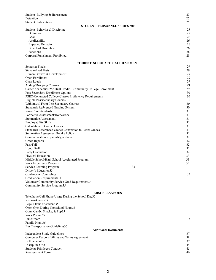| Student Bullying & Harassment                                       |                                | 23       |
|---------------------------------------------------------------------|--------------------------------|----------|
| Detention                                                           |                                | 25       |
| <b>Student Publications</b>                                         | STUDENT PERSONNEL SERIES 500   | 25       |
| Student Behavior & Discipline                                       |                                | 25       |
| Definition                                                          |                                | 25       |
| Goal                                                                |                                | 26       |
| Applicability                                                       |                                | 26       |
| <b>Expected Behavior</b>                                            |                                | 26       |
| Breach of Discipline                                                |                                | 26       |
| Sanctions                                                           |                                | 26       |
| Corporal Punishment Prohibited                                      |                                | 28       |
|                                                                     | STUDENT SCHOLASTIC ACHIEVEMENT |          |
| <b>Semester Finals</b>                                              |                                | 29       |
| <b>Standardized Tests</b>                                           |                                | 29       |
| Human Growth & Development<br>Open Enrollment                       |                                | 29<br>29 |
| Class Loads                                                         |                                | 29       |
| Adding/Dropping Courses                                             |                                | 29       |
| Career Academies 28e Dual Credit - Community College Enrollment     |                                | 29       |
| Post Secondary Enrollment Options                                   |                                | 30       |
| PSEO/Contracted College Classes Proficiency Requirements            |                                | 30       |
| Eligible Postsecondary Courses                                      |                                | 30       |
| Withdrawal From Post Secondary Courses                              |                                | 30       |
| Standards Referenced Grading System                                 |                                | 30       |
| <b>Iowa Core Standards</b>                                          |                                | 31       |
| Formative Assessment/Homework<br>Summative Assessment               |                                | 31<br>31 |
| <b>Employability Skills</b>                                         |                                | 31       |
| <b>Calculation of Course Grades</b>                                 |                                | 31       |
| Standards Referenced Grades Conversion to Letter Grades             |                                | 31       |
| <b>Summative Assessment Retake Policy</b>                           |                                | 31       |
| Communication to parents/guardians                                  |                                | 32       |
| Grade Reports                                                       |                                | 32       |
| Pass/Fail                                                           |                                | 32       |
| Honor Roll                                                          |                                | 32       |
| Early Graduation                                                    |                                | 32       |
| Physical Education<br>Middle School/High School Accelerated Program |                                | 33<br>33 |
| Work Experience Program                                             |                                | 33       |
| Service Learning Program                                            | 33                             |          |
| Driver's Education33                                                |                                |          |
| Guidance & Counseling                                               |                                | 33       |
| Graduation Requirements34                                           |                                |          |
| Volunteer Community Service Grad Requirement34                      |                                |          |
| Community Service Program35                                         |                                |          |
|                                                                     | <b>MISCELLANEOUS</b>           |          |
| Telephone/Cell Phone Usage During the School Day35                  |                                |          |
| Visitors/Guests35                                                   |                                |          |
| Legal Status of student 35                                          |                                |          |
| Open Gym During Nonschool Hours35                                   |                                |          |
| Gum, Candy, Snacks, & Pop35<br>Work Permit35                        |                                |          |
| Lunchroom                                                           |                                | 35       |
| Family Night36                                                      |                                |          |
| <b>Bus Transportation Guidelines36</b>                              |                                |          |
|                                                                     | <b>Additional Documents</b>    |          |
| <b>Independent Study Guidelines</b>                                 |                                | 37       |
| Computer Responsibilities and Terms Agreement                       |                                | 38       |
| <b>Bell Schedules</b>                                               |                                | 39       |
| Discipline Grid                                                     |                                | 44       |
| <b>Students Privileges Contract</b>                                 |                                | 45       |
| <b>Reassessment Form</b>                                            |                                | 46       |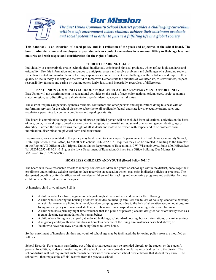

## **Our Mission**

The East Union Community School District provides a challenging curriculum within a safe environment where students achieve their maximum academic and social potential in order to pursue a fulfilling life in a global society.

This handbook is an extension of board policy and is a reflection of the goals and objectives of the school board. The board, administration and employees expect students to conduct themselves in a manner fitting to their age level and **maturity and with respect and consideration for the rights of others.**

#### **STUDENT LEARNING GOALS**

Individually or cooperatively create technological, intellectual, artistic and physical products, which reflect high standards and originality. Use this information and resources to anticipate, assess and resolve problems and challenges of a changing society. Be self-motivated and involve them in learning experiences in order to meet new challenges with confidence and improve their quality of life in today's society and the world of tomorrow. Demonstrate the qualities of volunteerism, trustworthiness, respect, responsibility, fairness and caring by treating others fairly, justly, and impartially, regardless of differences.

#### **EAST UNION COMMUNITY SCHOOL'S EQUAL EDUCATIONAL/EMPLOYMENT OPPORTUNITY**

East Union will not discriminate in its educational activities on the basis of race, color, national origin, creed, socio-economic status, religion, sex, disability, sexual orientation, gender identity, age, or marital status.

The district requires all persons, agencies, vendors, contractors and other persons and organizations doing business with or performing services for the school district to subscribe to all applicable federal and state laws, executive orders, rules and regulations pertaining to contract compliance and equal opportunity.

The board is committed to the policy that no otherwise qualified person will be excluded from educational activities on the basis of race, color, national origin, creed, socio-economic, religion, sex, marital status, sexual orientation, gender identity, age or disability. Further, the board affirms the right of all students and staff to be treated with respect and to be protected from intimidation, discrimination, physical harm and harassment.

Inquiries or grievances related to this policy may be directed to Ken Kasper, Superintendent of East Union Community School, 1916 High School Drive, Afton, IA 50830 or telephone 641/347-5215. Inquiries may also be directed in writing to the Director of the Region VII Office of Civil Rights, United States Department of Education, 310 W. Wisconsin Ave., Suite 800, Milwaukee, WI 53203-2292 (414/291-1111), or the Iowa Department of Education, Grimes State Office Building, Des Moines, IA 50319—0146 (515/281-5294).

#### **HOMELESS CHILDREN AND YOUTH** (Board Policy 501.16)

The board will make reasonable efforts to identify homeless children and youth of school age within the district, encourage their enrollment and eliminate existing barriers to their receiving an education which may exist in district policies or practices. The designated coordinator for identification of homeless children and for tracking and monitoring programs and activities for these children is the Superintendent or designee.

A homeless child or youth ages 3-21 is:

- A child who lacks a fixed, regular and adequate night-time residence and includes the following:
- A child who is sharing the housing of others (includes doubled-up families) due to loss of housing, economic hardship, or a similar reason; are living in a motel, hotel, or camping grounds due to the lack of alternative accommodations; are living in emergency or transitional shelters; are abandoned in a hospital, or is awaiting foster care placement.
- A child who has a primary night-time residence that is a public or private place not designed for or ordinarily used as a regular sleeping accommodation for human beings;
- A child who is living in a car, park, abandoned buildings, substandard housing, bus or train stations, or similar settings;
- A migratory child/youth who qualifies as homeless because of the living circumstances described above; or
- Youth who have run away or youth being forced to leave home.

So that enrollment of homeless children and youth of school age may be facilitated, the following policy areas are modified as follows:

School Records: For students transferring out of the district, records may be provided directly to the student or the student's parents. In addition, students transferring into the school district may provide cumulative records directly to the district. The school district will not require that such records be forwarded from another school district before that student may enroll. The school will then request the official records from the previous school.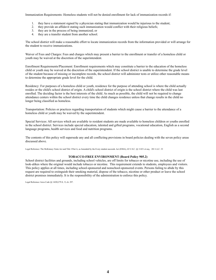Immunization Requirements: Homeless students will not be denied enrollment for lack of immunization records if:

- 1. they have a statement signed by a physician stating that immunization would be injurious to the student;
- 2. they provide an affidavit stating such immunization would conflict with their religious beliefs;
- 3. they are in the process of being immunized; or
- 4. they are a transfer student from another school.

The school district will make a reasonable effort to locate immunization records from the information provided or will arrange for the student to receive immunizations.

Waiver of Fees and Charges: Fees and charges which may present a barrier to the enrollment or transfer of a homeless child or youth may be waived at the discretion of the superintendent.

Enrollment Requirements/Placement: Enrollment requirements which may constitute a barrier to the education of the homeless child or youth may be waived at the discretion of the superintendent. If the school district is unable to determine the grade level of the student because of missing or incomplete records, the school district will administer tests or utilize other reasonable means to determine the appropriate grade level for the child.

Residency: For purposes of a homeless child or youth, residence for the purpose of attending school is where the child actually resides or the child's school district of origin. A child's school district of origin is the school district where the child was last enrolled. The deciding factor is the best interests of the child. As much as possible, the child will not be required to change attendance centers within the school district every time the child changes residence unless that change results in the child no longer being classified as homeless.

Transportation: Policies or practices regarding transportation of students which might cause a barrier to the attendance of a homeless child or youth may be waived by the superintendent.

Special Services: All services which are available to resident students are made available to homeless children or youths enrolled in the school district. Services include special education, talented and gifted programs, vocational education, English as a second language programs, health services and food and nutrition programs.

The contents of this policy will supersede any and all conflicting provisions in board policies dealing with the seven policy areas discussed above.

Legal Reference: The McKinney-Vento Act and Title I Part A, as Amended by the Every student succeeds Act (ESSA), 42 U.S.C. §§ 11431 et seq.. 281 I.A.C. 33

#### **TOBACCO-FREE ENVIRONMENT (Board Policy 905.2)**

School district facilities and grounds, including school vehicles, are off limits for tobacco or nicotine use, including the use of look-alikes where the original would include tobacco or nicotine. This requirement extends to students, employees and visitors. This policy applies at all times, including school-sponsored and nonschool-sponsored events. Persons failing to abide by this request are required to extinguish their smoking material, dispose of the tobacco, nicotine or other product or leave the school district premises immediately. It is the responsibility of the administration to enforce this policy.

Legal Reference: Iowa Code §§ 142D;279.8, .9; ch. 297.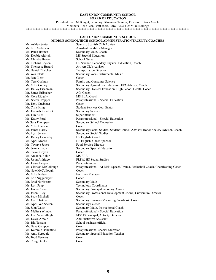#### **EAST UNION COMMUNITY SCHOOL BOARD OF EDUCATION**

President: Sam McKnight, Secretary: Rhiannon Tessum, Treasurer: Dawn Arnold Members: Ben Clear, Brett Weis, Carol Eckels & Mike Rollings \*\*\*\*\*\*\*\*\*\*\*\*\*\*\*\*\*\*\*\*\*\*\*\*\*\*\*\*\*\*\*\*\*\*\*\*\*\*\*\*\*\*\*\*\*\*\*\*\*\*\*\*\*\*\*\*\*\*\*\*\*\*\*\*\*\*\*\*\*\*\*\*\*\*\*\*\*\*\*\*\*\*\*\*\*\*\*\*\*\*\*\*\*\*\*\*\*\*\*\*\*\*\*

#### **EAST UNION COMMUNITY SCHOOL**

**MIDDLE SCHOOL/HIGH SCHOOL ADMINISTRATION/FACULTY/COACHES**

Ms. Ashley Sorter Spanish, Spanish Club Advisor Mr. Eric Anderson **Assistant Facilities Manager** Ms. Paula Barnett Secondary Math, Coach Ms. Debbie Aldrich MS Special Education Ms. Christie Brown School Nurse Mr. Richard Bryson HS Science, Secondary Physical Education, Coach Ms. Sherresse Buzard Art, Art Club Advisor Mr. Daniel Thatcher Transportation Director Mr. Wes Clark Secondary Vocal/Instrumental Music Mr. Ben Clear Coach Ms. Tess Cochran Family and Consumer Science Mr. Mike Cooley Secondary Agricultural Education, FFAAdvisor, Coach Ms. Bailey Eisenman Secondary Physical Education, High School Health, Coach Mr. James Erlbacher AG, Coach Ms. Cole Ridgely MS ELA, Coach Ms. Sherri Cropper Paraprofessional - Special Education Mr. Tony Nuebauer Coach Mr. Chris King Student Services Coordinator Ms. Hannah Kendrick Secondary Science Mr. Tim Kuehl Superintendent Ms. Kathy Ford Paraprofessional - Special Education Ms.Sara Thompson Secondary School Counselor Mr. Mike Hansen Coach Mr. James Hardy Secondary Social Studies, Student Council Advisor, Honor Society Advisor, Coach Mr. Ryan Jensen Secondary Social Studies Ms. Bailey Lukavsky HS English, Coach Ms. April Moore HS English, Cheer Sponsor Ms. Tawnya Jones Food Service Director Ms. Jean Kinyon Secondary Special Education Mr. Steve Kinyon Coach Ms. Amanda Kabir MS ELA Mr. Jason Aldridge PLTW, HS Social Studies Ms. Laura Leeper Paraprofessional Ms. Clarissa McCollough Paraprofessional - At Risk, Speech/Drama, Basketball Coach, Cheerleading Coach Mr. Nate McCollough Coach Mr. Mike Nelson Facilities Manager Mr. Eric Niggemeyer Coach Mr. Brad Nordstrom Secondary Math Ms. Lori Paup Technology Coordinator Ms. Erica Cosner Secondary Principal Secretary, Coach Mr. Jason Riley Secondary Professional Development Coord., Curriculum Director Mr. Scott Mitchell Coach Ms. Gail Thatcher Secondary Business/Marketing, Yearbook, Coach Ms. April Van Soelen Secondary Science Mr. John Walsh Secondary Math, Instructional Coach Ms. Melissa Wimber Paraprofessional - Special Education Mr. Josh Vanderflught MS/HS Principal, Activity Director Ms. Dawn Arnold Administrative Assistant Ms. Rhi Tessum School business official Mr. Dave Campbell Coach Ms. Kammie Ballentine Paraprofessional-special education Ms. Amy Scroggie Secondary Special Education Teacher Mr. Todd Verwers Coach Mr. Craig Ditzler Coach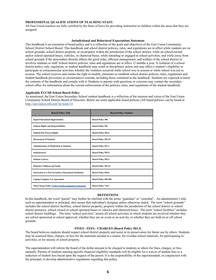#### **PROFESSIONAL QUALIFICATIONS OF TEACHING STAFF:**

All East Union teachers are fully certified by the State of Iowa for providing instruction to children within the areas that they are assigned.

#### **Jurisdictional and Behavioral Expectations Statement**

This handbook is an extension of board policy and is a reflection of the goals and objectives of the East Union Community School District School Board. This handbook and school district policies, rules, and regulations are in effect while students are on school grounds, school district property, or on property within the jurisdiction of the school district; while on school-owned and/or school-operated buses, vehicles, or chartered buses; while attending or engaged in school activities; and while away from school grounds if the misconduct directly affects the good order, efficient management, and welfare of the school district or involves students or staff. School district policies, rules and regulations are in effect 12 months a year. A violation of a school district policy, rule, regulation, or student handbook may result in disciplinary action and may affect a student's eligibility to participate in extracurricular activities whether the violation occurred while school was in session or while school was not in session. The school reserves and retains the right to modify, eliminate or establish school district policies, rules, regulations and student handbook provisions as circumstances warrant, including those contained in the handbook. Students are expected to know the contents of the handbook and comply with it. Students or parents with questions or concerns may contact the secondary school office for information about the current enforcement of the policies, rules, and regulations of the student handbook.

#### **Applicable EUCSD School Board Policy**

As mentioned, the East Union Secondary School student handbook is a reflection of the mission and vision of the East Union Community School District Board of Directors. Below are some applicable board policies (All board policies can be found at <http://east-union.isfis.net/?q=node/1>):

| <b>Board Policy Title</b>                                      | <b>Board Policy Number</b> |
|----------------------------------------------------------------|----------------------------|
| <b>Equal Educational Opportunities</b>                         | <b>Board Policy 500</b>    |
| <b>Student Rights and Responsibilities</b>                     | <b>Board Policy 502</b>    |
| <b>Student Due Process Rights</b>                              | <b>Board Policy 502.4</b>  |
| <b>Harassment of Students</b>                                  | <b>Board Policy 502.10</b> |
| <b>Administration of Medication to Students</b>                | <b>Board Policy 507.2</b>  |
| studentsearch                                                  | <b>Board Policy 502.8</b>  |
| <b>Student Lockers</b>                                         | <b>Board Policy 502.5</b>  |
| <b>Homeless Children and Youth</b>                             | Board Policy 501.16        |
| <b>Instruction at a Post-Secondary Educational Institution</b> | <b>Board Policy 604.6</b>  |
| <b>Laptop Computer Use Agreement</b>                           | Board Policy 605.6R1       |
| <b>Meal Charge Policy (USDA Nondiscrimination Statement)</b>   | <b>Board Policy 710.1</b>  |

#### **DEFINITIONS**

In this handbook, the word "parent" may further be clarified with the terms "guardian" or "custodial". An administrator's title, such as superintendent or principal, also means that individual's designee unless otherwise stated. The term "school grounds" includes the school district facilities, school district property; property within the jurisdiction of the school district or school district premises, school owned or school operated buses or vehicles and chartered buses. The term "school facilities" includes school district buildings. The term "school activities" means all school activities in which students are involved whether they are school sponsored or school approved, whether they are an event or an activity, or whether they are held on or off school grounds.

#### **FINES - FEES - CHARGES (Board Policy 503.3)**

The board believes students should respect school district property and assist in its preservation for future use by others. Students may be assessed fines, charges, or fees for the materials needed in a course, for overdue school materials, for participating in activities, or for misuse of school property.

The superintendent will inform the board of the dollar amount to be charged to students or others for fines, charges, or fees annually. Parents of students meeting specific financial eligibility standards will be eligible for a waiver of student fees or a reduction of student fees based upon the request of the parent. It is the responsibility of the superintendent, in conjunction with the principal, to develop administrative regulations regarding this policy.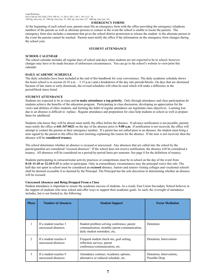#### **EMERGENCY FORMS**

At the beginning of each school year, parents must file an emergency form with the office providing the emergency telephone numbers of the parents as well as alternate persons to contact in the event the school is unable to locate the parents. The emergency form also includes a statement that gives the school district permission to release the student to the alternate person in the event the parents cannot be reached. Parents must notify the office if the information on the emergency form changes during the school year.

#### **STUDENT ATTENDANCE**

#### **SCHOOL CALENDAR**

The school calendar includes all regular days of school and days when students are not expected to be in school; however, changes may have to be made because of unforeseen circumstances. You can go to the school's website to view/print this calendar.

#### **DAILY ACADEMIC SCHEDULE**

The daily schedules have been included at the end of this handbook for your convenience. The daily academic schedule shows the hours school is in session  $(8:10 \text{ a.m.} - 3:15 \text{ p.m.})$  and a breakdown of the day into periods/blocks. On days that are shortened because of late starts or early dismissals, the revised schedules will often be used which will make a difference in the period/block times listed.

#### **STUDENT ATTENDANCE**

Students are expected to be in class and **to make attendance a top priority**. Only through attendance and class participation do students achieve the benefits of the education program. Participating in class discussion, developing an appreciation for the views and abilities of other students, and forming the habit of regular attendance are legitimate class objectives. Learning lost due to an absence is difficult to replace. Regular attendance and preparation for class help students in school as well as prepare them for adulthood.

Students who know they will be absent must notify the office before the absence. If advance notification is not possible, parents must notify the office at **641-347-8421** on the day of the absence prior to **9:00 a.m.** If notification is not received, the office will attempt to contact the parents at their emergency number. If a parent has not called prior to an absence, the student must bring a note signed by the parent to the office the next morning explaining the reason for the absence. If the note is not received, then the absence will be **considered truancy**.

The school determines whether an absence is excused or unexcused. Any absences that are called into the school by the parent/guardian are considered "excused absences". If the school does not receive notification, the absence will be considered a truancy. All absences will be considered on a period-by-period basis per semester. See page 8 for the definition of truancy.

Students participating in extracurricular activity practices or competitions must be in school on the day of the event from **8:10–11:45 or 12:10-3:15** in order to participate. Only in extraordinary circumstances may the principal waive this rule. The half-day not spent in school must be considered an **excused** absence. Juniors and seniors visiting colleges and vocational schools shall be deemed excusable if so deemed by the Principal. The Principal has the sole discretion in determining whether an absence will be excused.

#### **Unexcused Absences and Being Dropped From a Class**

Student attendance is important to ensure the academic success of students. As a result, East Union Secondary School believes in the support of students who miss school and offer ways to support their academic goals. As such, the oversight of attendance includes, but is not limited to, the following:

| <b>Phase</b>   | <b>Number of Absences</b>                    | <b>Student Support</b>                                                                                                      | <b>Focus Mediation</b>                    |
|----------------|----------------------------------------------|-----------------------------------------------------------------------------------------------------------------------------|-------------------------------------------|
|                |                                              |                                                                                                                             |                                           |
|                | If a student reaches 3<br>unexcused absences | Student problem solving conference, parent<br>communication, monthly parent communication,<br>daily student reminders, etc, | Detention                                 |
| $\mathfrak{D}$ | If a student reaches 6<br>unexcused absences | Frequent student check-ins, goal setting,<br>reflection surveys, parent<br>conference/communication, etc.                   | Detention, Intervention                   |
| 3              | If a student reaches 9<br>unexcused absences | Attendance contract, Academic options,<br>alternative or reduced schedule, etc.                                             | Detention, Intervention,<br>Possible Drop |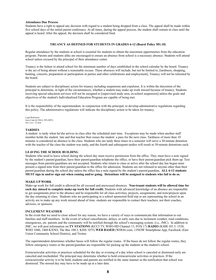#### **Attendance Due Process**

Students have a right to appeal any decision with regard to a student being dropped from a class. The appeal shall be made within five school days of the initial parent conference. At all times, during the appeal process, the student shall remain in class until the appeal is heard. After the appeal, the decision shall be considered final.

#### **TRUANCY AS DEFINED FOR STUDENTS IN GRADES 6-12 (Board Policy 501.10)**

Regular attendance by the students at school is essential for students to obtain the maximum opportunities from the education program. Parents and students alike are encouraged to ensure an absence from school is a necessary absence. Students will attend school unless excused by the principal of their attendance center.

Truancy is the failure to attend school for the minimum number of days established in the school calendar by the board. Truancy is the act of being absent without a reasonable excuse. These absences will include, but not be limited to, [tardiness, shopping, hunting, concerts, preparation or participation in parties and other celebrations and employment]. Truancy will not be tolerated by the board.

Students are subject to disciplinary action for truancy including suspension and expulsion. It is within the discretion of the principal to determine, in light of the circumstances, whether a student may make up work missed because of truancy. Students receiving special education services will not be assigned to [supervised study area, in-school suspension] unless the goals and objectives of the student's Individualized Education Program are capable of being met.

It is the responsibility of the superintendent, in conjunction with the principal, to develop administrative regulations regarding this policy. The administrative regulations will indicate the disciplinary action to be taken for truancy.

Legal Reference: Iowa Code §§ 294.4; 299 (2007). 281 I.A.C. 12.2(4).

#### **TARDIES**

A student is tardy when he/she arrives in class after the scheduled start time. Exceptions may be made when another staff member holds the student late and that teacher then issues the student a pass for the next class. Tardiness of more than 10 minutes is considered an absence to the class. Students who are tardy three times in a semester will serve a 30-minute detention with the teacher of the class the student was tardy, and the fourth and subsequent tardies will result in 30-minute detentions each.

#### **LEAVING THE SCHOOL BUILDING**

Students who need to leave school during the school day must receive permission from the office. They must have a note signed by the student's parent/guardian, have their parent/guardian telephone the office, or have their parent/guardian pick them up. Text messages from parents/guardians are not accepted. Students who return to class or arrive after the school day has begun must present a signed note from their parent/guardian to the office for admission. Students are not released to anyone other than their parent/guardian during the school day unless the office has a note signed by the student's parent/guardian**. ALL 6-12 students MUST sign in and/or sign out when coming and/or going. Detentions will be assigned to students who fail to do so.**

#### **MAKE-UP WORK**

Make-up work for full credit is allowed for all excused and unexcused absences. **Non-truant students will be allowed time for each day missed to complete make-up work for full credit.** Students with advanced knowledge of an absence are responsible to get assignments prior to the absence and be responsible for all class activities, projects, assignments, and tests/projects upon the day returning to class. Students who are participating in a school sponsored field trip or are representing the school in an activity are to make up any work missed ahead of time. students are responsible to contact their teachers, not their coaches, advisors, or sponsors.

#### **INCLEMENT WEATHER**

In the event that we need to close school for any reason, we have a variety of ways to communicate that information to our families and staff members. In the event of school cancellations, delays, or early outs due to inclement weather, road conditions, emergencies, etc. parents and the community will be notified through the school's messaging system. (i.e., JMC). In addition to JMC, we will post information on:**TV STATIONS** (KCCI TV, WHO-HD Channel 13, FOX 17) **RADIO** (KSIB 101.3. 1520, WHO 1040, 1460 KXNO, The Bus 100.3, KISS 1075) **WEB BASED** (WHOtv.com, 13NOW Smartphone App, Facebook (East Union Community School District), and Twitter.

The superintendent determines whether buses will follow the regular routes. If the buses do not follow the regular routes, they follow emergency routes or the parent/guardian are responsible for picking up the students at the student's school.

Extracurricular activities or practices scheduled for the day or evening of a day when school is canceled or dismissed early are canceled and rescheduled. The principal may determine whether to hold extracurricular activities or practices. If the extracurricular activity is to be held, students and parents are notified in the same manner as the notification that school was dismissed. The missed day may have to be made up at a later date.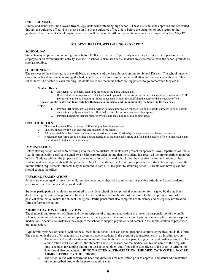#### **COLLEGE VISITS**

Juniors and seniors will be allowed **two** college visits while attending high school. These visits must be approved and scheduled through the guidance office. They must be on file in the guidance office 2 days before the visitation or upon return to the guidance office the next school day or the absence will be counted. All college visitations must be completed **before May 1st** .

#### **STUDENT HEALTH, WELL-BEING AND SAFETY**

#### **SCHOOL DAY**

Students may be present on school grounds before 8:00 a.m. or after 3:15 p.m. only when they are under the supervision of an employee or an extracurricular activity sponsor. If school is dismissed early, students are expected to leave the school grounds as soon as possible.

#### **SCHOOL NURSE**

The services of the school nurse are available to all students of the East Union Community School District. The school nurse will carry on his/her duties on a prearranged schedule and this will allow him/her to be in all attendance centers periodically. This schedule will be posted in each building. students are to see the nurse before calling parents to go home when they are ill.

#### **Student Health**

1. Accidents: All accidents should be reported to the nurse immediately.

2. Illness: students who become ill at school should go to the nurse's office or the attendance office. students are **NOT** permitted to go home because of illness or accident without first notifying the nurse or the attendance office

To ensure public health and to identify health threats to the school and the community, the following HIPAA rules **apply:**

- 1. Permits PHI disclosures without a written patient authorization for specified public health purposes to public health authorities legally authorized to collect and receive the information for such purposes;
- 2. Permits disclosures that are required by state and local public health or other laws.

#### **SPECIFIC DUTIES**

- 1. The school nurse will be in charge of all health problems in the school.
- 2. The school nurse will weigh and measure students in the school.
- 3. All pupils shall be subject to inspection or examination and tests of vision by the nurse whenever deemed necessary.
- 4. Accident report forms are to be filled out and turned in to the principal's office and filed in the nurse's office so that she/he may stay informed of all current information.

#### **IMMUNIZATIONS**

Before starting school or when transferring into the school district, students must present an approved Iowa Department of Public Health immunization certificate signed by a health care provider stating that the student has received the immunizations required by law. Students without the proper certificate are not allowed to attend school until they receive the immunizations or the student makes arrangements with the principal. Only for specific medical or religious purposes are students exempted from the immunization requirements. students may be required to pass a TB test prior to attending school. Parents who have questions should contact the office.

#### **PHYSICAL EXAMINATIONS**

Parents are encouraged to have their children receive periodic physical examinations. A positive attitude and good academic performance will be enhanced by good health.

Students participating in athletics are required to provide a school district physical examination form signed by the student's doctor stating the student is physically fit to perform in athletics before the start of the sport. Failure to provide proof of a physical examination makes the student ineligible. Participants must also complete health history and emergency notification forms before participation.

#### **ADMINISTRATION OF MEDICATION**

The diagnosis and treatment of illness and the prescription of drugs and medications are never the responsibility of the public schools, including school nurses; school personnel will not practice the administration of pain relievers or other nonprescription medication. Special circumstances may require the school to support physicians and parents in the administration of prescribed oral medication.

Hypodermic syringes, or needles will not be allowed in the school, nor can school personnel administer medication via this form. The exception is the use of Glucagons to be given to diabetic students in the event of unconsciousness in an Insulin reaction.

- 1. The school will need a written authorization from both the student's parent or guardian and his/her physician. The authorization must include: (a) the student's name, (b) reasons for the medication, (c) the name of the drug, (d) time schedules for administration, (e) dosage to be given, and (f) possible side effects of the drug. A termination date should also be included. **IF NO WRITTEN AUTHORIZATION, THE MEDICATION WILL NOT BE ADMINISTERED BY THE SCHOOL.**
- 2. The school nurse will confirm the need and directions for medication prior to approval and actual administration of the prescribed drug with the parent and physician.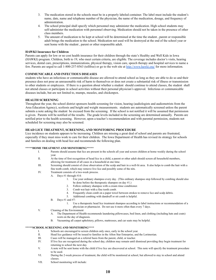- 3. The medication stored in the schools must be in a properly labeled container. The label must include the student's name, date, name and telephone number of the physician, the name of the medication, dosage, and frequency of administration.
- 4. The school principal shall specify which personnel may administer the medication. High school students may self-administer the medication with personnel observing. Medication should not be taken in the presence of other class members.
- 5. The amount of medication to be kept at school will be determined at the time the student , parent or responsible adult brings the medication to the school. Medication not used will be destroyed at the end of the school year or sent home with the student , parent or other responsible adult.

#### **HAWKI Insurance for Children**

Parents can apply for low or no cost health insurance for their children through the state's Healthy and Well Kids in Iowa (HAWKI) program. Children, birth to 19, who meet certain criteria, are eligible. The coverage includes doctor's visits, hearing services, dental care, prescriptions, immunizations, physical therapy, vision care, speech therapy and hospital services to name a few. Parents are urged to call 1-800-257-8563 (tollfree) or go to the web site at [http://www.hawki.org/](http://www.hawk) for more information.

#### **COMMUNICABLE AND INFECTIOUS DISEASES**

students who have an infectious or communicable disease are allowed to attend school as long as they are able to do so and their presence does not pose an unreasonable risk of harm to themselves or does not create a substantial risk of illness or transmission to other students or employees. If there is a question about whether a student should continue to attend classes, the student shall not attend classes or participate in school activities without their personal physician's approval. Infectious or communicable diseases include, but are not limited to, mumps, measles, and chickenpox.

#### **HEALTH SCREENING**

Throughout the year, the school district sponsors health screening for vision, hearing (audiologists and audiometrists from the Area Education Agency), scoliosis and height and weight measurements. students are automatically screened unless the parent submits a note asking the student be excused from the screening. If the school is not notified it will be assumed that permission is given. Parents will be notified of the results. The grade levels included in the screening are determined annually. Parents are notified prior to the health screening. However, upon a teacher's recommendation and with parental permission, students not scheduled for screening may also be screened.

#### **HEAD LICE TREATMENT, SCREENING, AND MONITORING PROCEDURE**

Lice incidence on students appears to be increasing. Children are missing a great deal of school and parents are frustrated, especially if they must miss work to care for their children. The Iowa Department of Health has revised its strategy for schools and families on dealing with head lice and recommends the following plan.

#### **\*\*\*\*\*HOME TREATMENT AND MONITORING\*\*\*\*\***

- I. Parents should assume that lice are present in the schools all year and screen children at home weekly during the school year.
- II. At the time of first recognition of head lice in a child, a parent or other adult should screen all household members, allowing for treatment of all cases in a household at one time.
- III. Screening should consist of close observation of the scalp and hair in a well-lit area. It also helps to comb the hair with a fine tooth comb, which may remove live lice and possibly some of the nits.
- IV. Treatment consists of a two-week process.
	- A. Days #1 through #14:
		- 1. Use your ordinary shampoo every day. (This ordinary shampoo step followed by combing should also be done before the therapeutic shampoo on day #1.)
		- 2. Follow ordinary shampoo with a cream rinse conditioner.
		- 3. Comb wet hair with a fine tooth comb.
		- 4. Frequently clean comb on a paper towel between strokes to remove lice and scalp debris.
		- 5. Additional combing with dandruff or nit comb is helpful.
		- B. Days #1 and #7:
			- 1. Use a therapeutic head lice treatment shampoo according to label instructions or recommendation of a physician or pharmacist. Do not use it more often than every 7 days.
- V. Cleaning of the Environment
	- A. The Department of Health recommends laundering pillowcases, bed linen, and clothing (including hats and coats) worn on the day of diagnosis.
	- B. Vacuuming all carpet upholstery, pillows, mattresses, and car seats may be helpful.

#### **\*\*\*\*\*SCHOOL SCREENING AND MONITORING\*\*\*\***

- I. Schools are encouraged to screen children only once, early in the school year.
- II. Head lice guidance will be issued to families in the Afton Star Enterprise, and the Lorimorian.
- III. Cases will be managed on a referral basis from the parent, child, or teacher.<br>IV. If live lice are recognized during the school day, children may remain until
- If live lice are recognized during the school day, children may remain until dismissal providing they begin treatment for returning to school the next day.
- V. A note will be sent home with the child if live lice are discovered at school. This note will specify the treatment procedure to be used.
- VI. During the 2-week process of treatment, the child will be monitored at school, but allowed to stay in school and attend classes.
- VII. School monitoring will include: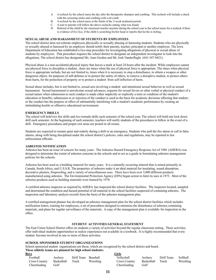- A. A recheck by the school nurse the day after the therapeutic shampoo and combing. This recheck will include a check with the screening sticks and combing with a nit comb.
- B. A recheck by the school nurse at the finish of the 2-week treatment period.
- C. A note to parents will follow the above rechecks stating what was found.
- D. Referral of the child by the classroom teacher anytime during the school year to the school nurse for a recheck if there is evidence of live lice, if the child is scratching his/her head or reports that he/she is itching.

#### **SEXUALABUSE AND HARASSMENT OF STUDENTS BY EMPLOYEES**

The school district does not tolerate employees physically or sexually abusing or harassing students. Students who are physically or sexually abused or harassed by an employee should notify their parents, teacher, principal or another employee. The Iowa Department of Education has established a two-step procedure for investigating allegations of physical or sexual abuse of students by employees. That procedure requires the school district to designate an independent investigator to look into the allegations. The school district has designated Ms. Joan Gordon and Mr. Josh Vanderflught (641-347-8421).

Physical abuse is a non-accidental physical injury that leaves a mark at least 24 hours after the incident. While employees cannot use physical force to discipline a student , there are times when the use of physical force is appropriate. The times when physical force is appropriate include, but are not limited to, times when it is necessary to stop a disturbance, to obtain a weapon or other dangerous object, for purposes of self-defense or to protect the safety of others, to remove a disruptive student, to protect others from harm, for the protection of property or to protect a student from self-infliction of harm.

Sexual abuse includes, but is not limited to, sexual acts involving a student and intentional sexual behavior as well as sexual harassment. Sexual harassment is unwelcome sexual advances, requests for sexual favors or other verbal or physical conduct of a sexual nature when submission to such conduct is made either implicitly or explicitly a term or condition of the student's education or benefits; submission to or rejection of the conduct is used as the basis for academic decisions affecting that student ; or the conduct has the purpose or effect of substantially interfering with a student's academic performance by creating an intimidating hostile or offensive educational environment.

#### **EMERGENCY DRILLS**

The school will hold two fire drills and two tornado drills each semester of the school year. The school will hold one lock down drill each semester. At the beginning of each semester, teachers will notify students of the procedures to follow in the event of a drill. Emergency procedures and proper exit areas are posted in all rooms.

Students are expected to remain quiet and orderly during a drill or an emergency. Students who pull the fire alarm or call in false alarms, along with being disciplined under the school district's policies, rules and regulations, may be reported to law enforcement officials.

#### **ASBESTOS NOTIFICATION**

Asbestos has been an issue of concern for many years. The Asbestos Hazard Emergency Response Act of 1986 (AHERA) was designed to determine the extent of asbestos concerns in the schools and to act as a guide in formulating asbestos management policies for the schools.

Asbestos has been used as a building material for many years. It is a naturally occurring mineral that is mined primarily in Canada, South Africa, and U.S.S.R. The properties of asbestos make it an ideal material for insulating, sound absorption, decorative plasters, fireproofing, and a variety of miscellaneous uses. There have been over 3,000 different products manufactured using asbestos. The Environmental Protection Agency (EPA) began action to limit its uses in 1973. Most of the asbestos products used as building materials were banned by 1978.

A certified asbestos inspector as required by AHERA has inspected the school district facilities. The inspector located, sampled and determined the condition and hazard potential of all material in the school facilities suspected of containing asbestos. The inspection and laboratory analysis records form the basis of the asbestos management plan.

A certified management planner has developed an asbestos management plan for the school district facilities which includes notification letters, training for employees, a set of procedures designed to minimize the disturbance of asbestos containing materials, and plans for regular surveillance of the materials. A copy of the management plan is available for inspection in the office.

#### **STUDENT ACTIVITIES GENERAL STATEMENT**

The East Union School District offers its students a variety of activities beyond the regular classroom setting. These activities offer individual students opportunities to realize experiences not available in a textbook. It is highly recommended that every student become involved in one or more of these activities.

#### **SCHOOL SPONSORED STUDENT ORGANIZATIONS**

School sponsored student organizations are those, which are recognized by the school district and board. **These athletic teams are planned for high school students:**

| <u>Boys</u>   |            |                     |           | <b>Girls</b>  |            |            |           |
|---------------|------------|---------------------|-----------|---------------|------------|------------|-----------|
| Football      | Archery    | Drill Team Baseball |           | Volleyball    | Archery    | Drill Team | Softball  |
| Cross Country | Basketball | Track               | Wrestling | Cross Country | Basketball | Track      | Wrestling |
| Cheerleading  | Golf       |                     |           | Cheerleading  | Golf       |            |           |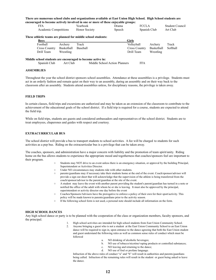|                       |            |               | There are numerous school clubs and organizations available at East Union High School. High School students are<br>encouraged to become actively involved in one or more of these enjoyable groups: |                      |              |                 |
|-----------------------|------------|---------------|-----------------------------------------------------------------------------------------------------------------------------------------------------------------------------------------------------|----------------------|--------------|-----------------|
| <b>FFA</b>            |            | Yearbook      | Drama                                                                                                                                                                                               |                      | <b>FCCLA</b> | Student Council |
| Academic Competitions |            | Honor Society | Speech                                                                                                                                                                                              |                      | Spanish Club | Art Club        |
|                       |            |               | These athletic teams are planned for middle school students:                                                                                                                                        |                      |              |                 |
| Boys                  |            |               |                                                                                                                                                                                                     | <b>Girls</b>         |              |                 |
| Football              | Archery    | Track         |                                                                                                                                                                                                     | Volleyball           | Archery      | Track           |
| Cross Country         | Basketball | Baseball      |                                                                                                                                                                                                     | <b>Cross Country</b> | Basketball   | Softball        |
| Drill Team            | Wrestling  |               |                                                                                                                                                                                                     | Drill Team           | Wrestling    |                 |
|                       |            |               | Middle school students are encouraged to become active in:                                                                                                                                          |                      |              |                 |
| Spanish Club          | Art Club   |               | Middle School Action Planners                                                                                                                                                                       | <b>FFA</b>           |              |                 |

#### **ASSEMBLIES**

Throughout the year the school district sponsors school assemblies. Attendance at these assemblies is a privilege. Students must act in an orderly fashion and remain quiet on their way to an assembly, during an assembly and on their way back to the classroom after an assembly. Students attend assemblies unless, for disciplinary reasons, the privilege is taken away.

#### **FIELD TRIPS**

In certain classes, field trips and excursions are authorized and may be taken as an extension of the classroom to contribute to the achievement of the educational goals of the school district. If a field trip is required for a course, students are expected to attend the field trip.

While on field trips, students are guests and considered ambassadors and representatives of the school district. Students are to treat employees, chaperones and guides with respect and courtesy.

#### **EXTRACURRICULAR BUS**

The school district will provide a bus to transport students to school activities. A fee will be charged to students for such activities as a pep bus. Riding on the extracurricular bus is a privilege that can be taken away.

The coaches, sponsors, and administration have a major concern with liability and the promotion of team spirit/unity. Riding home on the bus allows students to experience the appropriate mood and togetherness that coaches/sponsors feel are important to their program.

- Students may NOT drive to an event unless there is an emergency situation, or approval by the building Principal, Superintendent or Activities Director.
- Under NO circumstances may students ride with other students.
- parents/guardians may if necessary take their students home at the end of the event. Coach/sponsor/advisor will provide a sign out sheet that will acknowledge that the supervision of the athlete is being transferred from the coach/sponsor/advisor to the parent/guardian at the site of the event.
- A student may leave the event with another parent providing the student's parent/guardian has turned in a note or notified the office of the adult with whom he or she is leaving. It must also be approved by the principal, superintendent or activity director one day before the event
- Coaches/Sponsors/Advisors have the prerogative to enforce a policy of their own for their sport/activity. This policy will be made known to parents/guardians prior to the activity season.
- If the following school form is not used, a personal note should include all information on the form.

#### **HIGH SCHOOL DANCES**

Any high school dance or party is to be planned with the cooperation of the class or organization members, faculty sponsors, and the principal.

- 1. High school activities are intended for high school students from East Union Community School.
- 2. Anyone bringing a guest who is not a student at the East Union Community School to an East Union dance will be required to sign in, upon entrance to the dance agreeing that both the East Union student and guest understand the following rules as well as common sense rules of conduct which must be followed
	- a. NO drinking of alcoholic beverages;
	- b. NO use of tobacco/nicotine/vaping products or controlled substances;
	- c. NO leaving and returning to the dance;<br>d. NO use of foul or profane language.
	- NO use of foul or profane language.

Infraction of the above rules of conduct "a" and "b" will result in authorities and parents/guardians being called. Infraction of the remaining rules will result in the student or guest being asked to leave the dance.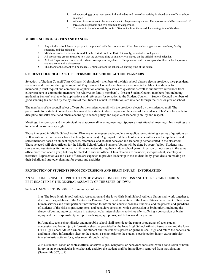- 3. All sponsoring groups must see to it that the date and time of an activity is placed on the official school calendar.
- 4. At least 5 sponsors are to be in attendance to chaperone any dance. The sponsors could be composed of three school sponsors and two community chaperones.
- 5. The doors to the school will be locked 30 minutes from the scheduled starting time of the dance.

#### **MIDDLE SCHOOL PARTIES AND DANCES**

- 1. Any middle school dance or party is to be planned with the cooperation of the class and/or organization members, faculty sponsors, and the principal
- 2. Middle school activities are for middle school students from East Union only, no out of school guests.
- 3. All sponsoring groups must see to it that the date and time of an activity is placed on the official school calendar.
- 4. At least 5 sponsors are to be in attendance to chaperone any dance. The sponsors could be composed of three school sponsors and two community chaperones.
- 5. The doors to the school will be locked 30 minutes from the scheduled starting time of the dance.

#### **STUDENT COUNCIL/CLASS OFFICERS/MIDDLE SCHOOL ACTION PLANNERS**

Selection of Student Council/Class Officers: High school – members of the high school classes elect a president, vice-president, secretary, and treasurer during the month of May. Student Council members are also selected in May. Candidates for membership must request and complete an application containing a series of questions as well as submit two references from either teachers or community members (no relatives or family members) . Present Student Council members (not including graduating Seniors) evaluate the applications and references for selection to the Student Council. Student Council members of good standing (as defined by the by-laws of the Student Council Constitution) are retained through their senior year of school.

The members of the council select officers for the student council with the president elected by the student council. The prerequisite for a student council member would be a student able to represent the ideas of the students of his/her class, able to discipline himself/herself and others according to school policy and capable of leadership ability and respect.

Meetings: the sponsors and the principal must approve all evening meetings. Sponsors must attend all meetings. No meetings are to be held on Wednesday night.

Those interested in Middle School Action Planners must request and complete an application containing a series of questions as well as submit two references from teachers (no relatives). A group of middle school teachers will review the applicants and select members based on student responses, references, and student behavior and leadership demonstrated in the classroom. Those selected will elect officers for the Middle School Action Planners. Voting will be done by secret ballot. Students may serve as representatives for not more than three semesters during their middle school years. A person cannot serve in the same office more than once a year, but may be elected to another office. Class officers are president, vice-president, secretary, & treasurer. Representatives and class officers are expected to provide leadership to the student body, good decision making on their behalf, and strategic planning for events and activities.

#### **PROTECTION OF STUDENTS FROM CONCUSSIONS AND BRAIN INJURY – INFORMATION**

#### AN ACT CONCERNING THE PROTECTION OF students FROM CONCUSSIONS AND OTHER BRAIN INJURIES. BE IT ENACTED BY THE GENERAL ASSEMBLY OF THE STATE OF IOWA:

Section 1. NEW SECTION. 280.13C Brain injury policies.

**1. a**. The Iowa High School Athletic Association and the Iowa Girls High School Athletic Union shall work together to distribute theguidelines of the Centers for Disease Control and prevention of the United States department of health and human services and other pertinent information to inform and educate coaches, students, and the parents and guardians of students of the risks, signs, symptoms, and behaviors consistent with a concussion or brain injury, including the danger of continuing to participate in extracurricular interscholastic activities after suffering a concussion or brain injury and their responsibility to report such signs, symptoms, and behaviors if they occur.

**b.** Annually, each school district and nonpublic school shall provide to the parent or guardian of each student concussion and brain injury information sheet, as provided by the Iowa High School Athletic Association and the Iowa Girls High School Athletic Union. The student and the student's parent or guardian shall sign and return the concussion and brain injury information sheet to the student's school prior to the student's participation in any extracurricular interscholastic activity for grades seven through twelve.

**2.** If a student's' coach or contest official observes signs, symptoms, or behaviors consistent with a concussion or brain injury in an extracurricular interscholastic activity, the student shall be immediately removed from participation. (Senate File 367, p. 2)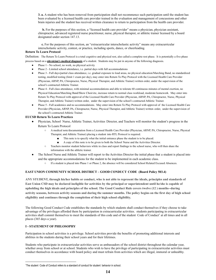**3. a.** A student who has been removed from participation shall not recommence such participation until the student has been evaluated by a licensed health care provider trained in the evaluation and management of concussions and other brain injuries and the student has received written clearance to return to participation from the health care provider.

**b.** For the purposes of this section, a "licensed health care provider" means a physician, physician assistant, chiropractor, advanced registered nurse practitioner, nurse, physical therapist, or athletic trainer licensed by a board designated under section 147.13.

**c.** For the purposes of this section, an "extracurricular interscholastic activity" means any extracurricular interscholastic activity, contest, or practice, including sports, dance, or cheerleading.

#### **Return To Learn Protocol**

Definition: The Return To Learn Protocol is a total cognitive and physical rest, also called a complete rest phase. It is potentially a five phase process based on a **physician's medical diagnosis** of a student. Students may be put in anyone of the following diagnosis.

- Phase 1 No school, no work, no physical activity
- Phase 2 Limited school attendance, i.e. partial days with full accommodations
- Phase 3 Full days/partial class attendance, i.e. gradual exposure to loud areas, no physical education/Marching Band, no standardized testing, modified testing (limit 1 exam per day), may enter into Return To Play Protocol with the Licensed Health Care Provider (Physician, ARNP, PA, Chiropractor, Nurse, Physical Therapist, and Athletic Trainer) written order, under the supervision of the school's contracted Athletic Trainer.
- Phase 4 Full class attendance, with minimal accommodations and able to tolerate 60 continuous minutes of mental exertion, no Physical Education/Marching Band/Show Choir/etc, increase return to normal class workload, moderate homework. May enter into Return To Play Protocol with approval of the Licensed Health Care Provider (Physician, ARNP, PA, Chiropractor, Nurse, Physical Therapist, and Athletic Trainer) written order, under the supervision of the school's contracted Athletic Trainer.
- Phase 5 Full academics and no accommodations. May enter into Return To Play Protocol with approval of the Licensed Health Care Provider (Physician, ARNP, PA, Chiropractor, Nurse, Physical Therapist, and Athletic Trainer) written order, under the supervision of the school's contracted Athletic Trainer.

#### **EUCSD Return To Learn Practices**

- Physician, School Nurse, Athletic Trainer, Activities Director, and Teachers will monitor the student's progress in the Return To Learn Protocol
	- A medical note/documentation from a Licensed Health Care Provider (Physician, ARNP, PA, Chiropractor, Nurse, Physical Therapist, and Athletic Trainer) placing a student into RTL Protocol is required.
		- This note is to specify what the initial entrance phase the student is to be placed.
		- A copy of this note is to be given to both the School Nurse and the Activities Director.
	- Teachers monitor student behaviors while in class and report findings to the school nurse, who will then share the information with the athletic trainer.
- The School Nurse and Athletic Trainer will report to the Activities Director the initial phase that a student is placed into and the appropriate accommodations for the student to be implemented in each academic class.
	- If a student is placed into Phase 1 or Phase 2, the absence will be considered School Related Excused Absences.

#### **EAST UNION COMMUNITY SCHOOL DISTRICT – GOOD CONDUCT CODE (Board Policy 503.4)**

**ANY STUDENT, through his/her habits or conduct, who is not able to represent the ideals, principles and standards of East Union CSD may be declared ineligible for activities by the principal or superintendent until he/she is capable of upholding the high ideals and principles of the school. The Good Conduct Rule covers twelve (12 ) months--during activity seasons, between activity seasons and during the summer months. The policy begins on the first day of high school eligibility and continues through the completion of their high school eligibility.**

The following Good Conduct Code establishes the standards by which students shall conduct themselves if they choose to take advantage of the privileges afforded them by participation in extracurricular activities. students participating in extracurricular activities shall commit themselves to meet the standards of this code and of the student Code of Conduct<sup>1</sup> at all times and in all places (365 days a year).

#### **I - STATEMENT OF PHILOSOPHY**

Participation in school activities is a privilege. School activities provide the benefits of promoting additional interests and abilities in the students during their school years and for their lifetimes.

Students who participate in extracurricular activities serve as ambassadors of the school district throughout the calendar year, whether away from school or at school. Students who wish to have the privilege of participating in extracurricular activities must conduct themselves in accordance with board policy and must refrain from activities which are illegal, immoral or unhealthy.

<sup>&</sup>lt;sup>1</sup>The student Code of Conduct refers to a standard of conduct for student behavior in school.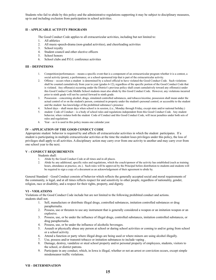Students who fail to abide by this policy and the administrative regulations supporting it may be subject to disciplinary measures, up to and including exclusion from participation in school activities.

#### **II – APPLICABLE ACTIVITY PROGRAMS**

The Good Conduct Code applies to all extracurricular activities, including but not limited to:

- 1. All athletics
- 2. All music-speech-drama (non-graded activities), and cheerleading activities
- 3. School royalty
- 4. Student council and other elective officers
- 5. School honors
- 6. School clubs and P.O.I. conference activities

#### **III – DEFINITIONS**

- 1. Competition/performances means a specific event that is a component of an extracurricular program whether it is a contest, a social activity (prom), a performance, or a school-sponsored trip that is part of the extracurricular activity.
- 2. Offense occurs when a student is determined by a school official to have violated the Good Conduct Code. Such violations shall be counted cumulatively from year to year (grades 6-12), regardless of the specific portion of the Good Conduct Code that is violated. Any offense(s) occurring under the District's previous policy shall count cumulatively toward any offense(s) under this Good Conduct Code.Middle School students must also abide by this Good Conduct Code. However, any violations incurred prior to ninth grade will not be carried forward to ninth grade.
- 3. Possession concerning alcohol, drugs, simulated controlled substances, and tobacco/nicotine, possession shall mean under the actual control of or on the student's person, contained in property under the student's personal control, or accessible to the student and the student has knowledge of the prohibited substance's presence
- 
- 4. School days shall mean days when school is in session, (i.e., Monday through Friday, except state and/or national holiday.)<br>5. student Code of Conduct is a body of school rules and regulations independent from this 5. student Code of Conduct – is a body of school rules and regulations independent from this Good Conduct Code. Any student behavior, when violates both the student Code of Conduct and this Good Conduct Code, will incur penalties under both sets of rules and regulations
- 6. Year as it is used in this policy means one calendar year.

#### **IV – APPLICATION OF THE GOOD CONDUCT CODE**

Appropriate student behavior is required by and affects all extracurricular activities in which the student participates. If a student is participating in multiple extracurricular activities at the time the student loses privileges under this policy, the loss of privileges shall apply to all activities. A disciplinary action may carry over from one activity to another and may carry over from one school year to the next.

#### **V – CONDUCT REQUIREMENTS**

Students shall:

- 1. Abide by the Good Conduct Code at all times and in all places.
- 2. Abide by any additional, specific rules and regulations, which the coach/sponsor of the activity has established (such as training hours, attendance at practice, etc.). Such rules will be approved by the Principal before distribution to students and students will be required to sign a copy of a document as an acknowledgement of their agreement to abide by.

General Standard – Good Conduct consists of behavior which reflects the generally accepted social and moral requirements of the community, is legal, and at all times reflects respect for and sensitivity to other people, regardless of nationality, gender, religion, race or disability, and a respect for their rights, property, and dignity.

#### **VI – VIOLATIONS**

Violations of the Good Conduct Code include but are not limited to the following prohibited conduct and actions. students shall not;

- 1. Sell, manufacture or distribute illegal drugs, controlled substances, imitation controlled substances or drug paraphernalia.
- 2. Possess, use or threaten to use any instrument that is generally considered a weapon or an imitation weapon or an explosive.
- 3. Possess, use, or be under the influence of illegal drugs, controlled substances, imitation controlled substances, or drug paraphernalia.
- 4. Possess, use, or be under the influence of alcoholic beverages.
- 5. Assault or physically abuse any person at school or during school activities or coming to and/or going from school or a school activity.
- 6. Attend a function or party where illegal drugs are being used or where minors are using alcohol illegally.
- 7. Use, possess and/or transmit tobacco or imitation substances to include vaping .
- 8. Damage, destroy, vandalize or steal school property and/or personal property of employees, students, visitors to the school, or district patrons.
- 9. Participate in any conduct, which, in Iowa is illegal, whether or not an arrest or conviction occurs, except simple misdemeanor traffic violations.

#### **VII – DETERMINATION**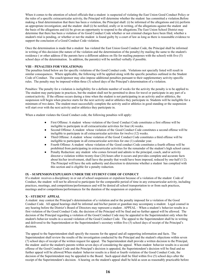When it comes to the attention of school officials that a student is suspected of violating the East Union Good Conduct Policy or the rules of a specific extracurricular activity, the Principal will determine whether the student has committed a violation.Before making a final determination that there has been a violation, the Principal shall: (i) be informed of the allegations and (ii) perform an appropriate investigation; and the student shall (i) be notified, orally or in writing, of the allegations against the student and the basis of the allegations and (ii) be given an opportunity to respond to the allegations.The East Union School District may determine that there has been a violation of its Good Conduct Code whether or not criminal charges have been filed, whether a student's trial is pending, or whether or not the student is found guilty by a court of law as long as there is reasonable evidence to support the conclusion of a Good Conduct Code violation.

Once the determination is made that a student has violated the East Union Good Conduct Code, the Principal shall be informed in writing of this decision (the nature of the violation and the determination of the penalty) by mailing the same to the student's residence ( or other address if the parents have a different address on file for mailing purposes with the school) with five (5) school days of the determination. In addition, the parent(s) will be notified verbally if possible.

#### **VIII – PENALTIES FOR VIOLATION(S)**

The penalties listed below are for specific violations of the Good Conduct code. Violations not specially listed will result in similar consequences. Where applicable, the following will be applied along with the specific penalties outlined in the Student Code of Conduct. The coach/sponsor may also impose additional penalties pursuant to their supplementary activity-specific rules. The penalty may be imposed within three (3) school days of the Principal's determination of a violation.

Penalties: The penalty for a violation is ineligibility for a definite number of weeks for the activity the penalty is to be applied to. The student may participate in practices, but the student shall not be permitted to dress for travel or participate in any part of a contest/activity. If the offense occurs during a time when the student is not participating in an activity and/or athletics, the suspension will begin when practice starts for the next activity and/or athletics they participate in. Students will be ineligible for a minimum of two dates. The student must successfully complete the activity and/or athletics in good standing or the suspension will start over with the next activity and/or athletics they participate in.

When a student violates the Good Conduct code, the following penalties will apply:

- First Offense: A student whose violation of the Good Conduct Code constitutes a first offense will be ineligible to participate in all extracurricular activities for four (4) weeks.
- Second Offense: A student whose violation of the Good Conduct Code constitutes a second offense will be ineligible to participate in all extracurricular activities for twelve (12) weeks.
- Third Offense: A student whose violation of the Good Conduct Code constitutes a third offense will be ineligible to participate in all extracurricular activities for one (1) calendar year.
- Fourth Offense: A student whose violation of the Good conduct Code constitutes a fourth offense will be prohibited from participating in extracurricular activities for the remainder of the student's high school career.
- Penalty Reduction: any student who comes forward and admits to the principal, coach, and/or activity director a violation within twenty-four (24) hours after it occurs and provides complete and accurate facts about his/her involvement, shall have the penalty that would have been imposed, reduced by one-half (1/2). The Principal will have the sole authority and discretion to determine whether a student has complied with this section and is eligible for a penalty reduction.

#### **IX – SUSPENSION/EXPULSION UNDER THE STUDENT CODE OF CONDUCT**

If a student receives a disciplinary in or out of school suspension or expulsion because of a violation of the student Code of Conduct, the student will not be allowed to participate for the comparable period of time in any extracurricular activity, including practices, meetings, and competitions/performances and will be denied all school transportation to or from such practices, meetings and/or competitions/performances for the duration of the suspension or expulsion.

#### **X – STUDENT APPEAL**

A student may contest the Principal's determination of a violation and/or the penalty imposed for a violation of the Good Conduct Code. All appeal hearings shall be informal and his/her parent or guardian may accompany a student. Legal counsel in any hearing before the District's Board of Directors may represent a student . APPEAL – When a student's behavior results in a first violation of the Good Conduct Code, the decision of the Principal will be final and no further appeal will be allowed. The decision of the Principal regarding a violation of the Good Conduct Code may be appealed to the Superintendent only when the student's behavior results in a second violation of the Good Conduct Code. The appeal to the Superintendent shall be in writing and delivered to the Superintendent or the Superintendent's secretary within five (5) school days of receipt of the Principal's decision.

The appeal to the Superintendent shall specify the reasons for the appeal and all supporting information and facts. The Superintendent shall review the results of the investigation conducted by the Principal and the student's objections within seven (7) school days of receipt of the written request for appeal. The Superintendent shall provide a written decision to the Principal, the student and/or the student's parents within seven days of considering the appeal. When student behavior results in a second offense of the Good Conduct Code and the Principal's decision is appealed, the Superintendent's decision will be final and no further appeal will be allowed.When student behavior results in a third or fourth violation of the Good Conduct Code, the decision of the Superintendent may be appealed to the Board. Such appeal shall be filed within five (5) school days after the receipt of the Superintendent's decision. A hearing on the student's appeal shall be held as soon as reasonably practicable before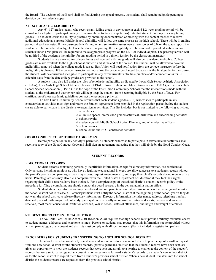the Board. The decision of the Board shall be final.During the appeal process, the student shall remain ineligible pending a decision on the student's appeal.

#### **XI – SCHOLASTIC ELIGIBILITY**

Any  $6<sup>th</sup>–12<sup>th</sup>$  grade student who receives any failing grade in any course in each 4 1/2 week grading period will be considered ineligible to participate in any extracurricular activities (competitions) until that student no longer has any failing grades.. The student earns the ability to practice by obtaining documentation of meeting with the content teacher to receive additional educational support. Middle School eligibility will follow the same process as the high school. There will be 8 grading periods, 4 each semester. If the course grade is failing, or any summative assessments have scores of 0.0, on the grade report, the student will be considered ineligible. Once the student is passing, the ineligibility will be removed. Special education and/or students under a 504 plan will be required to make appropriate progress on the I.E.P. or individual plan. The parent/guardian will be notified of the academic ineligibility for any grading period in a timely fashion by the classroom instructor.

Students that are enrolled in college classes and received a failing grade will also be considered ineligible. College grades are made available to the high school at midterm and at the end of the course. The student will be allowed to have the ineligibility removed when the college grade is raised. East Union will need notification from the college instructor before the ineligibility is changed. If the college instructor will not allow the grade to be changed because it is the final grade for the course, the student will be considered ineligible to participate in any extracurricular activities (practice and/or competitions) for 30 calendar days from the date college grades are provided to the school.

A student may also fall under the rules of scholastic ineligibility as dictated by Iowa High School Athletic Association (IHSAA), Iowa Girls High School Athletic Union (IGHSAU), Iowa High School Music Association (IHSMA), & the Iowa High School Speech Association (IHSSA). It is the hope of the East Union Community Schools that the interventions made with the student at the midterm and quarter periods will help keep the student from becoming ineligible by the State of Iowa. For clarification of these academic guidelines contact the secondary principal.

The East Union Community School requires that each student (grades 6-12) who wishes to participate in any extracurricular activities must sign and return the Student Agreement form provided in the registration packet before the student (s) are able to participate in the district's extracurricular activities. This list includes, but is not limited to the following activities:

1. all athletics

- 2. all music-speech-drama (non graded activities), drill team and cheerleading activities 3. school royalty
- 4. student council, Middle School Action Planners, and other elective officers
- 5. school honors
- 6. school clubs and P.O.I. conference activities

#### **GOOD CONDUCT CODE/STUDENT AGREEMENT**

Before participation in any activity is permitted, all students who wish to participate in extracurricular activities shall receive a copy of the Good Conduct Code and shall sign an agreement indicating that they will abide by the Good Conduct Code.

#### **STUDENT RECORDS**

#### **EDUCATIONAL RECORDS**

Student records containing personally identifiable information, except for directory information, are confidential. Only persons, including employees, who have a legitimate educational interest, are allowed access to a student's records without the parent's permission. parent/guardian may access, request amendments to, and copy their child's records during regular office hours. Parents/guardians may also file a complaint with the United States Department of Education if they feel their rights regarding their child's records have been violated. For a complete copy of the school district's student records policy or the procedure for filing a complaint, one should contact the board secretary in the central administration office.

Student directory information may be released without parental/custodial permission unless the parent/guardian asks the school district not to release it. Parents/guardians must notify the school district at the beginning of the school year if they do not want the school district to release directory information. Directory information includes name, address, telephone number, date and place of birth, major field of study, participation in officially recognized activities and sports, degrees and awards received, most recent educational institution attended, year in school, dates of attendance, and height and weight of athletes.

#### **STUDENT RECRUITMENT OPT-OUT FORM**

The No Child Left Behind Act of 2001 (Section 9528) requires that high schools must provide military recruiters access to student names, addresses and telephone listings. Parents or students may request that this information not be provided without written parental/guardian consent and districts must comply with all such requests (Form included in registration packets.)

#### **PROCEDURES FOR STUDENTS TRANSFERRING TO ANOTHER SCHOOL DISTRICT**

The school district automatically transfers a student's records to a new school district upon receipt of a written request from the new school district for the student's records. parents/guardians, notified that the student's records have been sent, are given an opportunity to view the student's records that were sent and a right to a hearing to challenge the content of the student's records that were sent. parent/guardian consent is not necessary to forward a student's records to a student's new school district or for the school district to request them from a student's previous school district. When a new student transfers into the school district the student's records are requested from the previous school district.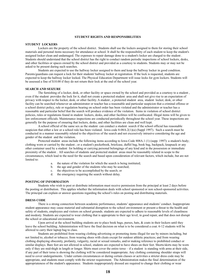#### **STUDENT RIGHTS AND RESPONSIBILITIES**

#### **STUDENT LOCKERS**

Lockers are the property of the school district. Students shall use the lockers assigned to them for storing their school materials and personal items necessary for attendance at school. It shall be the responsibility of each student to keep the student's assigned locker clean and undamaged. The expenses to repair damage done to a student's locker are charged to the student . Students should understand that the school district has the right to conduct random periodic inspections of school lockers, desks, and other facilities or spaces owned by the school district and provided as a courtesy to students. Students may or may not be asked to be present during such searches.

Students are expected to use the hallway locker assigned to them and keep the hallway locker in good condition. Parents/guardians can request a lock for their students' hallway locker at registration. If the lock is requested, students are expected to keep the hallway locker locked. The Physical Education Department will issue locks for gym lockers. Students will be assessed a fine of \$10.00 if they do not return their lock at the end of the school year.

#### **SEARCH AND SEIZURE**

The furnishing of a locker, desk, or other facility or space owned by the school and provided as a courtesy to a student , even if the student provides the lock for it, shall not create a protected student area and shall not give rise to an expectation of privacy with respect to the locker, desk, or other facility. A student , a protected student area, student locker, desk, or other facility can be searched whenever an administrator or teacher has a reasonable and particular suspicion that a criminal offense or a school district policy, rule or regulation bearing on school order has been violated and the administrator or teacher has a reasonable and particular belief that the search will produce evidence of the violation. Items in violation of school district policies, rules or regulations found in student lockers, desks, and other facilities will be confiscated. Illegal items will be given to law enforcement officials. Maintenance inspections are conducted periodically throughout the school year. These inspections are generally for the purpose of ensuring that lockers, desks, and other facilities are clean and well kept.

A school official of the same sex as the student can conduct a student search if the school official has reasonable suspicion that either a law or a school rule has been violated. Iowa code 8-08A.2(1)(a) (Suppl 1997). Such a search must be conducted in a manner reasonably related to the objectives of the search and not excessively intrusive considering the age and gender of the student and the violation.

Protected student areas include the following items according to Iowa Code 808A.1 (1) (supp. 1997): a student's body; clothing worn or carried by the student ; or a student's pocketbook, briefcase, duffel bag, book bag, backpack, knapsack or any other container used by a student for holding or carrying personal belongings of any kind and in the possession or immediate proximity of the student . All searches of students and protected student areas must be reasonably related in scope to the circumstances, which lead to the need for the search and based upon consideration of relevant factors, which include, but are not limited to:

- the nature of the violation for which the search is being instituted;
- b. the age and gender of the students who may be searched;
- c. the objectives to be accomplished by the search; or
- d. the emergency requiring the search without delay.

#### **POSTING OF INFORMATION**

Students who wish to post or distribute information must receive permission from the principal at least 2 days before the posting or distribution. This applies whether the information deals with school sponsored or non school-sponsored activities. The principal can explain or answer questions regarding the school's rules on posting and distributing materials.

#### **DRESS CODE**

There is a strong connection between academic performance, students' appearance and students' conduct. Inappropriate student appearance may cause material and substantial disruption to the school environment or present a threat to the health and safety of students, employees and visitors on school grounds. students are expected to adhere to reasonable levels of cleanliness and modesty. Students are expected to wear clothing that is appropriate to their age level, in good repair, and that does not disrupt the school or educational environment.

Upon arrival at the school building students are to place book bags, purses, hats, & coats in their lockers until they leave the school building. Administration will have the final decision on what is to be considered a coat. 6-12 students will be allowed to carry their laptop bag to class.

Students are prohibited from wearing clothing advertising or promoting items illegal for use by minors including, but not limited to, alcohol or tobacco; from wearing shoes with cleats except for outdoor athletic practices; and from wearing clothing displaying obscenity, profanity, vulgarity, racial or sexual remarks, and/or making reference to prohibited conduct or similar displays. Bare feet are not allowed in school, students are expected to have shoes on their feet. Shorts/skirts may be worn only if they are mid-thigh in length or longer. Shirts must cover the entire torso – if a student is standing with arms at their side, if any part of their torso is showing the clothing will be considered inappropriate. Any clothing containing shoulder straps will need to cover undergarments. Under certain circumstances or during certain classes or activities a stricter dress code may be appropriate, and students must comply with the stricter requirement. The Administration makes the final determination of the appropriateness of the student's appearance. Students inappropriately dressed are required to change their clothing or wear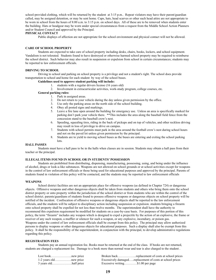school-provided clothing, which will be returned by the student at 3:15 p.m.. Repeat violators may have their parent/guardian called, may be assigned detention, or may be sent home. Caps, hats, head scarves or other such head attire are not appropriate to be worn in school from the hours of 8:00 a.m. to 3:15 p.m. on school days. All of these are to be removed when students enter the building. Hats or headgear may be worn under special circumstances from a request from the Middle School Action Planners and/or Student Council and approved by the Principal.

#### **PHYSICAL CONTACT**

Public displays of affection are not appropriate for the school environment and physical contact will not be allowed.

#### **CARE OF SCHOOL PROPERTY**

Students are expected to take care of school property including desks, chairs, books, lockers, and school equipment. Vandalism is not tolerated. Students found to have destroyed or otherwise harmed school property may be required to reimburse the school district. Such behavior may also result in suspension or expulsion from school in certain circumstances; students may be reported to law enforcement officials.

#### **DRIVING TO SCHOOL**

Driving to school and parking on school property is a privilege and not a student's right. The school does provide transportation to school and home for each student by way of the school buses.

#### **Guidelines used to approve student parking will include:**

- 1. students with a regular drivers license (16 years old)
- 2. Involvement in extracurricular activities, work-study program, college courses, etc.

#### **General parking rules:**

- 1. Park in assigned areas.
- 2. Do not return to your vehicle during the day unless given permission by the office.
- 3. Use only the parking areas on the north side of the school building.
- 4. Obey all posted signs and markings.
- 5. Leave a fire lane open around the building for emergency use. Unless an area is specifically marked for parking don't park your vehicle there. \*\*This includes the area along the baseball field fence from the concession stand to the baseball crow's nest.
- 6. Speeding, squealing tires, riding in the back of pickups and on top of vehicles, and other reckless driving may result in loss of privilege to drive on campus.
- 7. Students with school permits must park in the area around the football crow's nest during school hours and not on the paved lot unless given permission by the principal.
- 8. Students are to yield to moving school buses as the buses are entering and exiting the school parking lots.

#### **HALL PASSES**

Students must have a hall pass to be in the halls when classes are in session. Students may obtain a hall pass from their teacher or the principal.

#### **ILLEGAL ITEMS FOUND IN SCHOOL OR IN STUDENTS' POSSESSION**

Students are prohibited from distributing, dispensing, manufacturing, possessing, using, and being under the influence of alcohol, drugs or look-a-like substances. Weapons are not allowed on school grounds or at school activities except for weapons in the control of law enforcement officials or those being used for educational purposes and approved by the principal. Parents of students found in violation of this policy will be contacted, and the students may be reported to law enforcement officials

#### **WEAPONS**

School district facilities are not an appropriate place for offensive weapons (as defined in Chapter 724) or dangerous objects. Offensive weapons and other dangerous objects shall be taken from students and others who bring them onto the school district property or onto property within the jurisdiction of the school district or from students who are within the control of the school district. parents/guardians of students found to possess offensive weapons or dangerous objects on school property will be notified of the incident. Confiscation of offensive weapons or dangerous objects shall be reported to the law enforcement officials, and the students will be subject to disciplinary action including suspension or expulsion. students bringing a firearm onto school property shall be expelled for not less than twelve months. The superintendent shall have the authority to recommend this expulsion requirement be modified for students on a case-by-case basis. For purposes of this portion of this policy, the term "firearm" includes any weapon which is designed to expel a projectile by the action of an explosive, the frame or receiver of any such weapon, a muffler or silencer for such a weapon, or any explosive, incendiary, or poison gas. Weapons under the control of law enforcement officials shall be exempt from this policy. The principal may allow authorized persons to display weapons or other dangerous objects for educational purposes. Such a display shall also be exempt from this policy. It shall be the responsibility of the superintendent, in conjunction with the principal, to develop administrative regulations regarding this policy.

#### **REGISTRATION FEES**

Students pay an annual registration fee. Books must be returned at the end of the class. If books are not returned, students are charged a replacement fee. Damage to a book more than normal wear and tear is also charged to the student .

| Lost booknew price |                                                          |
|--------------------|----------------------------------------------------------|
|                    | Excessively damagedreplacement of costs at school prices |
|                    | Excessive writing\$1.00 per page                         |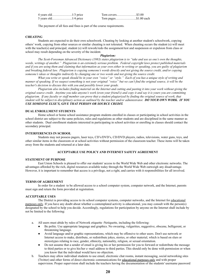|  | Torn pages\$1.00 each |  |
|--|-----------------------|--|

The payment of all fees and fines is part of the course requirements.

#### **CHEATING**

Students are expected to do their own schoolwork. Cheating by looking at another student's schoolwork, copying others' work, copying from other sources or similar cheating is not tolerated. When cheating occurs the student (s) will meet with the teacher(s) and principal; student (s) will rework/redo the assignment/test and suspension or expulsion from class or school may result depending on the severity of the incident.

#### *Plagiarism:*

*The Scott-Foresman Advanced Dictionary (1983) states plagiarism is to "take and use as one's own the thoughts, words, writings of another." Plagiarism is an extremely serious problem. Federal copyright laws protect published materials and if you are using them and claiming that information as your own either in writing or speaking, you are guilty of plagiarism and breaking federal law. Plagiarism is copying someone's words directly and not giving the source credit, and/or copying someone's ideas or thoughts indirectly by changing one or two words and not giving the source credit.*

*What you write or speak should be in your own "voice" or "style." Each of you has a unique style of writing and manner of speaking. If we suspect something is not your original "voice" but we can't find the original source, it will be the teacher's decision to discuss this with you and possibly lower your grade.*

*Plagiarism also includes finding material on the Internet and cutting and pasting it into your work without giving the original source credit. Anytime you take anyone's work (even your friend's) and copy it and say it is yours you are committing plagiarism. If any faculty or staff member can prove that a student plagiarized by finding the original source of work, that student will be subject to disciplinary action as outlined by the teacher and/or administrator. DO YOUR OWN WORK. IF YOU USE SOMEONE ELSE'S, GIVE THAT PERSON OR SOURCE CREDIT.*

#### **DUAL ENROLLMENT STUDENTS**

Home school or home school assistance program students enrolled in classes or participating in school activities in the school district are subject to the same policies, rules and regulations as other students and are disciplined in the same manner as other students. Dual enrollment students interested in participating in school activities or enrolling in classes should contact the secondary principal.

#### **INTERFERENCES IN SCHOOL**

Students may not possess pagers, laser toys, CD's/DVD's, CD/DVD players, radios, televisions, water guns, toys, and other similar items in the classroom or at school activities without permission of the classroom teacher. These items will be taken away from the students and returned at a later date.

#### **ACCEPTABLE USE POLICY AND INTERNET SAFETY AGREEMENT**

#### **STATEMENT OF PURPOSE**

East Union Schools is pleased to offer our students' access to the World Wide Web and other electronic networks. The advantages afforded by the rich, digital resources available today through the World Wide Web outweigh any disadvantage. However, it is important to remember that access is a privilege, not a right, and carries with it responsibilities for all involved.

#### **TERMS OF AGREEMENT**

In order for a student to be allowed access to a school computer system, computer network, and the Internet, parents must sign and return the form provided at registration.

#### **ACCEPTABLE USES**

The District is providing access to its school computer systems, computer networks, and the Internet for educational purposes only. If you have any doubt about whether a contemplated activity is educational, you may consult with the person(s) designated by the school to help you decide. Accordingly, regulations for participation by anyone on the Internet shall include by not be limited to the following:

a. All users must abide by rules of Network etiquette -Netiquette, including the following:

- Be polite. Use appropriate language and graphics. No swearing, vulgarities, suggestive, obscene, belligerent, or threatening language.
- Avoid language and/or graphic representations, which may be offensive to other users. Don't use network or Internet access to make, distribute, or redistribute jokes, stories, or other material, which is based on slurs or stereotypes relating to race, gender, ethnicity, nationality, religion, or sexual orientation.
- Do not assume that a sender of email is giving his or her permission for you to forward or redistribute the message to third parties or to give his/her e–mail address to third parties. This should only be done with permission or when you know that the individual would have no objection.
- b. Teachers may allow individual students to use email, electronic chat rooms, instant messaging, social networking sites (Twitter) and other forms of direct electronic communications for educational purposes only and with proper supervision. Proper supervision shall include the teachers having the documentation of the students' username password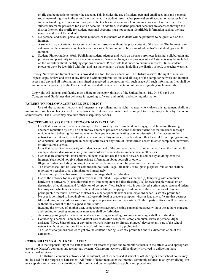on file and being able to monitor the account. This includes the use of student personal email accounts and personal social networking sites in the school environment. If a student uses his/her personal email account or accesses his/her social networking site on a school computer, the teacher must monitor all communications and have access to the students username password for such an account. In addition, if student personal accounts are accessed through the district Internet, the profile for student personal accounts must not contain identifiable information such as the last name or address of the student .

- c. No personal addresses, personal phone numbers, or last names of students will be permitted to be given out on the Internet.
- d. A student may not attempt to access any Internet resource without the prior consent of the teacher. The Internet is an extension of the classroom and teachers are responsible for and must be aware of where his/her student goes on the Internet.
- e. Student Photos/student Work. Publishing student pictures and work on websites promotes learning, collaboration and provides an opportunity to share the achievements of students. Images and products of K-12 students may be included on the website without identifying captions or names. Please note that under no circumstances will K-12 student photos or work be identified with first and last name on any website, including the district, school, or teacher website.

Privacy. Network and Internet access is provided as a tool for your education. The District reserves the right to monitor, inspect, copy, review and store at any time and without prior notice any and all usage of the computer network and Internet access and any and all information transmitted or received in connection with such usage. All such information files shall be and remain the property of the District and no user shall have any expectation of privacy regarding such materials.

Copyright. All students and faculty must adhere to the copyright laws of the United States (P.L. 94-553) and the Congressional Guidelines that delineate it regarding software, authorship, and copying information.

#### **FAILURE TO FOLLOW ACCEPTABLE USE POLICY**

Use of the computer network and internet is a privilege, not a right. A user who violates this agreement shall, at a minimum, have his or her access to the network and internet terminated and is subject to disciplinary action by the school administrator. The District may also take other disciplinary actions.

#### **UNACCEPTABLE USES OF THE NETWORK MAY INCLUDE:**

- a. Uses that cause harm to others or damage to their property. For example, do not engage in defamation (harming another's reputation by lies); do not employ another's password or some other user identifier that misleads message recipients into believing that someone other than you is communicating or otherwise using his/her access to the network or the Internet; do not upload a worm, virus, Trojan horse, time bomb, or other harmful form of programming or vandalism; do not participate in hacking activities or any form of unauthorized access to other computers, networks, or information systems.
- b. Uses that jeopardize the security of student access and of the computer network or other networks on the Internet. For example, do not disclose or share your password with others; do not impersonate another user.
- c. Uses that are commercial transactions. students may not use the school network to sell or buy anything over the Internet. You should not give others private information about yourself or others.
- d. Illegal activities, including copyright or contract violations shall not be permitted on the Internet.
- e. The Internet shall not be used for commercial, political, illegal, financial, or religious purposes. Violations shall be reported to a teacher or an administrator immediately.
- f. Threatening, profane, harassing, or abusive language shall be forbidden.
- g. Use of the network for any illegal activities is prohibited. Illegal activities include (a) tampering with computer hardware or software, (b) unauthorized entry into computers and files (hacking), (c) knowledgeable vandalism or destruction of equipment, and (d) deletion of computer files. Such activity is considered a crime under state and federal law. Any use, which violates state or federal law relating to copyright, trade secrets; the distribution of obscene or pornographic materials, or which violates any other applicable law or municipal ordinance, is strictly prohibited.
- h. No user is permitted to knowingly or inadvertently load or create a computer virus or load any software that destroys files and programs, confuses users, or disrupts the performance of the system. No third party software will be installed without the consent of the assigned administrator.
- i. Invading the privacy of another user, using another's account, posting personal messages without the author's consent, and sending or posting anonymous messages shall be forbidden.
- j. Accessing pornographic or obscene materials, or using or sending profanity in messages shall be forbidden.
- k. Connecting a personal, non-school-district-owned desktop computer, laptop computer, wireless personal digital assistant (PDA), Smartphone, or any other network (wireless or directly plugged) device to any part of the school network without permission of the network administrator is strictly prohibited.
- l. The use of anonymous proxies to get around content filtering is strictly prohibited and is a direct violation of this agreement.

#### **CYBERBULLYING & INTERNET SAFETY**

It is the responsibility of the staff to make best efforts to guide and to monitor students in the effective and appropriate use of the District's computer and technology system. Classroom teachers will be directly involved in delivering these educational services.

The District's computer network and the Internet, whether accessed at school or off, during or after school hours, may not be used for the purpose of harassment. All forms of harassment over the Internet, commonly referred to as cyberbullying, are unacceptable and viewed as a violation of this policy and our acceptable use policy and procedures.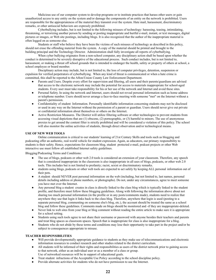Malicious use of our computer system to develop programs or to institute practices that harass other users or gain unauthorized access to any entity on the system and/or damage the components of an entity on the network is prohibited. Users are responsible for the appropriateness of the material they transmit over the system. Hate mail, harassment, discriminatory remarks, or other antisocial behaviors are expressly prohibited.

Cyberbullying includes, but is not limited to the following misuses of technology: harassing, teasing, intimidating, threatening, or terrorizing another person by sending or posting inappropriate and hurtful e-mail, instant, or text messages, digital pictures or images, or Web site postings, including blogs. It is also recognized that the author of the inappropriate material is often logged on as someone else.

Students or staff who believe they have been the victims of such misuses of technology as described in this policy, should not erase the offending material from the system. A copy of the material should be printed and brought to the building principal and the Technology Director. Administration shall fully investigate all reports of cyberbullying.

When cyber bullying originates from a non-school computer, any disciplinary action shall be based upon whether the conduct is determined to be severely disruptive of the educational process. Such conduct includes, but is not limited to, harassment, or making a threat off school grounds that is intended to endanger the health, safety or property of others at school, a school employee or board member.

Disciplinary action may include, but is not limited to, the loss of computer privileges, detention, suspension or expulsion for verified perpetrators of cyberbullying. When any kind of threat is communicated or when a hate crime is committed, this shall be reported to the Afton/Union County Law Enforcement Department.

- Parents and Users. Despite every effort for supervision and filtering, all users and their parents/guardians are advised that access to the electronic network may include the potential for access to materials inappropriate for school-aged students. Every user must take responsibility for his or her use of the network and Internet and avoid these sites.
- Personal Safety. In using the network and Internet, users should not reveal personal information such as home address or telephone number. Users should never arrange a face-to-face meeting with someone "met" on the Internet without a parent's permission.
- Confidentiality of student Information. Personally identifiable information concerning students may not be disclosed or used in any way on the Internet without the permission of a parent or guardian. Users should never give out private or confidential information about themselves or others on the Internet.
- Active Restriction Measures. The District will utilize filtering software or other technologies to prevent students from accessing visual depictions that are (1) obscene, (2) pornographic, or (3) harmful to minors. The use of anonymous proxies to get around the content filter is strictly prohibited and will be considered a violation of this policy. The school will also monitor the online activities of students, through direct observation and/or technological means.

#### **USE OF NEW WEB TOOLS**

Online communication is critical to our students' learning of 21st Century Skills and tools such as blogging and podcasting offer an authentic, real-world vehicle for student expression. Again, as educators, our primary responsibility to students is their safety. Hence, expectations for classroom blog, student protected e-mail, podcast projects or other Web interactive use must follow all established Internet safety guidelines.

Blogging/Podcasting Terms and Conditions:

- The use of blogs, podcasts or other web 2.0 tools is considered an extension of your classroom. Therefore, any speech that is considered inappropriate in the classroom is also inappropriate in all uses of blogs, podcasts, or other web 2.0 tools. This includes but is not limited to profanity; racist, sexist or discriminatory remarks.
- students using blogs, podcasts or other web tools are expected to act safely by keeping ALL personal information out of their pots.
- A student should NEVER post personal information on the web (including, but not limited to, last names, personal details including address or phone numbers, or photographs). Do not, under any circumstances, agree to meet someone you have met over the Internet.
- Any personal blog a student creates in class is directly linked to the class blog which is typically linked to the student profile, and therefore must follow these blogging guidelines. Along with following the information above about not sharing too much personal information (in the profile or in any posts/comments made), students need to realize that anywhere they use that login it links back to the class blog. Therefore, anywhere that login is used (posting to a separate personal blog, commenting on someone else's blog, etc.), the account should be treated the same as a school blog and follow these guidelines. Comments made on blogs should be monitored and -if they are inappropriate-deleted.
- Never link to web sites from your blog or blog comment without reading the entire article to make sure it is appropriate for a school setting.
- Students using such tools agree to not share their username or password with anyone besides their teachers and parents and treat blog spaces as classroom spaces. Speech that is inappropriate for class is also inappropriate for a blog.
- Students who do not abide by these terms and conditions may lose their opportunity to take part in the project and/or be subject to consequences appropriate to misuse.

#### **TEACHER RESPONSIBILITIES**

- Will provide developmentally appropriate guidance to students as they make use of telecommunications and electronic information resources to conduct research and other studies related to the district curriculum.
- All students will be informed of their rights and responsibilities as users of the district network prior to gaining access to that network, either as an individual user or as a member of a class or group. Use of networked resources will be in support of educational goals.
- Treat student infractions of the Acceptable Use Policy according to the school discipline policy.
- Provide alternate activities for students who do not have permission to use the Internet.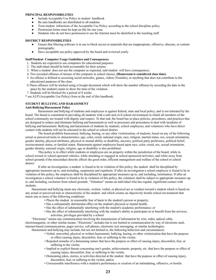#### **PRINCIPAL RESPONSIBILITIES**

- Include Acceptable Use Policy in student handbook
- Be sure handbooks are distributed to all students
- Treat student infractions of the Acceptable Use Policy according to the school discipline policy
- Permission forms must be kept on file for one year.
- Students who do not have permission to use the Internet must be identified to the teaching staff.

#### **DISTRICT RESPONSIBILITIES**

- Ensure that filtering software is in use to block access to materials that are inappropriate, offensive, obscene, or contain pornography.
- Have acceptable use policy approved by the board and reviewed yearly

#### **Staff/Student Computer Usage Guidelines and Consequences**

- 1. Students are expected to use computers for educational purposes.
- 2. The individual should be held accountable for their actions.
- 3. When a student does not use the computer as expected, said student will have consequences.
- 4. Two recorded offenses of misuse of the computer in school classes, **(Homeroom is considered class time)**.
- 5. An offense is defined as accessing social networks, games, videos (Youtube), or anything that does not contribute to the educational purposes of the class.
- 6.These offenses will be tracked using a Google document which will show the number offenses by recording the date in the space by the student's name to show the time of the violation.
- 7. Students will be blocked for a period of 4 weeks.

\* see AUP (Acceptable Use Policy) form at the end of this handbook.

#### **STUDENT BULLYING AND HARASSMENT**

#### **Anti-Bullying/Harassment Policy**

Harassment and bullying of students and employees is against federal, state and local policy, and is not tolerated by the board. The board is committed to providing all students with a safe and civil school environment in which all members of the school community are treated with dignity and respect. To that end, the board has in place policies, procedures, and practices that are designed to reduce and eliminate bullying and harassment as well as processes and procedures to deal with incidents of bullying and harassment. Bullying and harassment of students by students, school employees, and volunteers who have direct contact with students will not be tolerated in the school or school district.

The board prohibits harassment, bullying, hazing, or any other victimization, of students, based on any of the following actual or perceived traits or characteristics: age, color, creed, national origin, race, religion, marital status, sex, sexual orientation, gender identity, physical attributes, physical or mental ability or disability, ancestry, political party preference, political belief, socioeconomic status, or familial status. Harassment against employees based upon race, color, creed, sex, sexual orientation, gender identity, national origin, religion, age or disability is also prohibited.

This policy is in effect while students or employees are on property within the jurisdiction of the board; while in school-owned or school-operated vehicles; while attending or engaged in school-sponsored activities; and while away from school grounds if the misconduct directly affects the good order, efficient management and welfare of the school or school district

If after an investigation, a student is found to be in violation of this policy, the student shall be disciplined by appropriate measures up to, and including, suspension and expulsion. If after an investigation a school employee is found to be in violation of this policy, the employee shall be disciplined by appropriate measures up to, and including, termination. If after an investigation a school volunteer is found to be in violation of this policy, the volunteer shall be subject to appropriate measures up to, and including, exclusion from school grounds. "Volunteer" means an individual who has regular, significant contact with students.

Harassment and bullying mean any electronic, written, verbal, or physical act or conduct toward a student which is based on any actual or perceived trait or characteristic of the student and which creates an objectively hostile school environment that meets one or more of the following conditions:

- Places the student in reasonable fear of harm to the student's person or property;
- Has a substantially detrimental effect on the student's physical or mental health;
- Has the effect of substantially interfering with the student's academic performance; or
- Has the effect of substantially interfering with the student's ability to participate in or benefit from the services, activities, privileges provided by a school.

"Electronic" means any communication involving the transmission of information by wire, radio, optical cable, electromagnetic, or other similar means. "Electronic" includes but is not limited to communication by way of electronic mail, internet-based communications, pager service, cell phones, electronic text messaging, or similar technologies.

Harassment and bullying may include, but are not limited to, the following behaviors and circumstances:

- Verbal, nonverbal, physical or written harassment, bullying, hazing, or other victimization that have the purpose or effect causing injury, discomfort, fear, or suffering to the victim;
- Repeated remarks of a demeaning nature that have the purpose or effect of causing injury, discomfort, fear, or suffering to the victim;
- Implied or explicit threats concerning one's grades, achievements, property, etc. that have the purpose or effect of causing injury, discomfort, fear, or suffering to the victim;
- Demeaning jokes, stories, or activities directed at the student that have the purpose or effect of causing injury, discomfort, fear, or suffering to the victim; and/or
- Unreasonable interference with a student's performance or creation of an intimidating, offensive, or hostile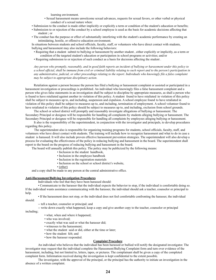learning environment.

- Sexual harassment means unwelcome sexual advances, requests for sexual favors, or other verbal or physical conduct of a sexual nature when:
- Submission to the conduct is made either implicitly or explicitly a term or condition of the student's education or benefits;
- Submission to or rejection of the conduct by a school employee is used as the basis for academic decisions affecting that student ; or
- The conduct has the purpose or effect of substantially interfering with the student's academic performance by creating an intimidating, hostile, or offensive education environment.

In situations between students and school officials, faculty, staff, or volunteers who have direct contact with students, bullying and harassment may also include the following behaviors:

- Requiring that a student submit to bullying or harassment by another student , either explicitly or implicitly, as a term or condition of the targeted student's education or participation in school programs or activities; and/or
- Requiring submission to or rejection of such conduct as a basis for decisions affecting the student .

*Any person who promptly, reasonably, and in good faith reports an incident of bullying or harassment under this policy to a school official, shall be immune from civil or criminal liability relating to such report and to the person's participation in any administrative, judicial, or other proceedings relating to the report. Individuals who knowingly file a false complaint may be subject to appropriate disciplinary action.*

Retaliation against a person because the person has filed a bullying or harassment complaint or assisted or participated in a harassment investigation or proceedings is prohibited. An individual who knowingly files a false harassment complaint and a person who gives false statements in an investigation shall be subject to discipline by appropriate measures, as shall a person who is found to have retaliated against another in violation of this policy. A student found to have retaliated in violation of this policy shall be subject to measures up to, and including, suspension and expulsion. A school employee found to have retaliated in violation of this policy shall be subject to measures up to, and including, termination of employment. A school volunteer found to have retaliated in violation of this policy should be subject to measures up to, and including, exclusion from school grounds.

The school or school district will promptly and reasonably investigate allegations of bullying or harassment. The Secondary Principal or designee will be responsible for handling all complaints by students alleging bullying or harassment. The Secondary Principal or designee will be responsible for handling all complaints by employees alleging bullying or harassment.

It also is the responsibility of the superintendent, in conjunction with the investigator and principals, to develop procedures regarding this policy.

The superintendent also is responsible for organizing training programs for students, school officials, faculty, staff, and volunteers who have direct contact with students. The training will include how to recognize harassment and what to do in case a student is harassed. It will also include proven effective harassment prevention strategies. The superintendent will also develop a process for evaluating the effectiveness of the policy in reducing bullying and harassment in the board. The superintendent shall report to the board on the progress of reducing bullying and harassment in the board.

The board will annually publish this policy. The policy may be publicized by the following means:

- Inclusion in the student handbook,
- Inclusion in the employee handbook
- Inclusion in the registration materials
- Inclusion on the school or school district's website,
- (other)

and a copy shall be made to any person at the central administrative office.

#### **Anti-Harassment/Bullying Investigation Procedures**

should:

Individuals who feel that they have been harassed should:

• Communicate to the harasser that the individual expects the behavior to stop, if the individual is comfortable doing so. If the individual wants assistance communicating with the harasser, the individual should ask a teacher, counselor or principal to help.

• If the harassment does not stop, or the individual does not feel comfortable confronting the harasser, the individual

-- tell a teacher, counselor or principal; and

-- write down exactly what happened, keep a copy and give another copy to the teacher, counselor or principal including;

- what, when and where it happened;
- who was involved;
- exactly what was said or what the harasser did;
- witnesses to the harassment;
- what the student said or did, either at the time or later;
- how the student felt; and
- how the harasser responded.

#### **Complaint Procedure**

An individual who believes that the individual has been harassed or bullied will notify the designated investigator. The investigator may request that the individual complete the Harassment/Bullying Complaint form and turn over evidence of the harassment, including, but not limited to, letters, tapes, or pictures. The complainant shall be given a copy of the completed complaint form. Information received during the investigation is kept confidential to the extent possible.

The investigator, with the approval of the principal, or the principal has the authority to initiate an investigation in the absence of a written complaint.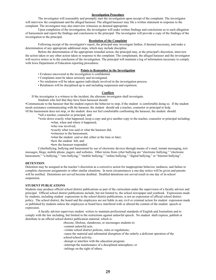#### **Investigation Procedure**

The investigator will reasonably and promptly start the investigation upon receipt of the complaint. The investigator will interview the complainant and the alleged harasser. The alleged harasser may file a written statement in response to the complaint. The investigator may also interview witnesses as deemed appropriate.

Upon completion of the investigation, the investigator will make written findings and conclusions as to each allegation of harassment and report the findings and conclusions to the principal. The investigator will provide a copy of the findings of the investigation to the principal.

#### **Resolution of the Complaint**

Following receipt of the investigator's report, the principal may investigate further, if deemed necessary, and make a determination of any appropriate additional steps, which may include discipline.

Before the determination of the appropriate remedial action, the principal may, at the principal's discretion, interview the action taken or any other action taken in response to the complaint. The complainant, the alleged harasser and the investigator will receive notice as to the conclusion of the investigation. The principal will maintain a log of information necessary to comply with Iowa Department of Education reporting procedures.

#### **Points to Remember in the Investigation**

- Evidence uncovered in the investigation is confidential.
- Complaints must be taken seriously and investigated.
- No retaliation will be taken against individuals involved in the investigation process.
- Retaliators will be disciplined up to and including suspension and expulsion.

#### **Conflicts**

If the investigator is a witness to the incident, the alternate investigator shall investigate.

Students who feel that they have been harassed should:

•Communicate to the harasser that the student expects the behavior to stop, if the student is comfortable doing so. If the student needs assistance communicating with the harasser, the student should ask a teacher, counselor or principal to help.

•If the harassment does not stop, or the student does not feel comfortable confronting the harasser, the student should:

\*tell a teacher, counselor or principal; and

\*write down exactly what happened, keep a copy and give another copy to the teacher, counselor or principal including: •what, when and where it happened;

- •who was involved;
- •exactly what was said or what the harasser did;
- •witnesses to the harassment;
- •what the student said or did, either at the time or later;
- •how the student felt; and
- •how the harasser responded

Cyberbullying, bullying and harassment by use of electronic devices through means of e-mail, instant messaging, text messages, blogs, mobile phone, pagers, and websites. Other terms from cyber bullying are "electronic bullying," "electronic harassment," "e-bullying," "sms bullying," "mobile bullying," "online bullying," "digital bullying," or "Internet bullying".

#### **DETENTION**

Detention may be assigned at the teacher's discretion as a corrective action for inappropriate behavior, tardiness, and failure to complete classroom assignments or other similar situations. In most circumstances a one-day notice will be given and parents will be notified. Detentions not served become doubled. Doubled detentions not served result in one day of in-school suspension.

#### **STUDENT PUBLICATIONS**

Students may produce official school district publications as part of the curriculum under the supervision of a faculty advisor and principal. Official school district publications include, but not limited to, the school newspaper and yearbook. Expressions made by students, including student expressions in the school district publications, is not an expression of official school district policy. The school district, the board and the employees are not liable in any civil or criminal action for student expression made or published by students unless the employees or board have interfered with or altered the content of the student speech or expression.

A faculty advisor supervises student writers to maintain professional standards of English and Journalism and to comply with the law including, but limited to the restrictions against unlawful speech. No student shall express, publish or distribute in an official school district publication material, which is:

obscene, libelous, slanderous; or encourages students to:

-commit unlawful acts;

- -violate school district policies, rules or regulations;
- -cause the material and substantial disruption of the orderly a deficient operation of the school/school activity;
- -disrupt or interfere with the education program;
- -interrupt the maintenance of a disciplined atmosphere; or
- -infringe on the right of others.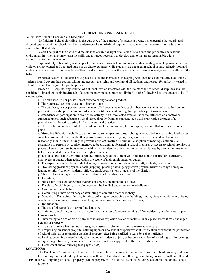#### **STUDENT PERSONNEL SERIES 500**

Policy Title: Student Behavior and Discipline

Definition: "School discipline" is the guidance of the conduct of students in a way, which permits the orderly and efficient operation of the school, i.e., the maintenance of a scholarly, discipline atmosphere to achieve maximum educational benefits for all students.

Goal: The goal of the board of directors is to ensure the right of all students to a safe and productive educational environment in which they may learn the skills and attitudes necessary to develop and to mature as responsible adults, accountable for their own actions.

Applicability: This policy shall apply to students while on school premises, while attending school sponsored events, while on school owned and operated buses or on chartered buses while students are engaged in school sponsored activities, and while students are away from the school if their conduct directly affects the good order, efficiency, management, or welfare of the district.

Expected Behavior: students are expected to conduct themselves in keeping with their levels of maturity at all times. students should govern their actions taking into account the rights and welfare of all students and respect for authority vested in school personnel and regard for public property.

Breach of Discipline: any conduct of a student , which interferes with the maintenance of school disciplines shall be considered a breach of discipline.Breach of discipline may include, but is not limited to: (the following list is not meant to be all encompassing).

a. The purchase, use or possession of tobacco or any tobacco product;

b. The purchase, use or possession of beer or liquor;

c. The purchase, use or possession of any controlled substance unless such substance was obtained directly from, or pursuant to, a valid prescription or order of a practitioner while acting during his/her professional practice; d. Attendance or participation in any school activity in an intoxicated state or under the influence of a controlled substance unless such substance was obtained directly from, or pursuant to, a valid prescription or order of a practitioner while acting during his/her professional practice;

e. The distribution of, transmittal of, or sale of any tobacco product, beer or liquor, or controlled substance to other person;

f. Disruptive Behavior: including, but not limited to, temper tantrums; fighting or rowdy behavior; making loud noises so as to cause interference with other persons; using abusive language or gestures which the student knows or reasonably should know is likely to provoke a violent reaction by another; disruption of meetings, activities, or assemblies of persons by conduct intended to be disrupting; obstructing school premises or access to school premises or places where school functions re to be held, with the intent to prevent or hinder its lawful use by another; or any other behavior intended to interfere with the rights of others;

g. Defiance: Refusal to conform to policies, rules, regulations, directives or requests of the district or its officers, employees or agents when acting within the scope of their employment or duties;

h. Disrespect: disrespectful or rude behavior, comments, or actions directed at staff, students, or visitors.

i. Physical Aggression: physical attack (slapping, pushing/shoving, aggressive physical behavior, rough horseplay leading to injury) to other students, officers, employees, visitors or agents of the district;

j. Threats: Threatening to harm another student, staff member, or visitor.

k. Extortion;

l. Possession or use of dangerous weapons or objects, including look-a-likes;

m. Display of racial bigotry or intolerance (will be handled under harassment/bullying);

n. Criminal or illegal behavior;

o. Committing a theft or robbery or attempting to commit a theft or robbery;

p. Vandalism: Damaging, altering, injuring, defacing, or destroying any building, fixture, piece of equipment or item, which includes writing, drawing, or making marks on walls, furniture, and fixtures;

q. Intimidation;

r. The use of obscene, lewd, or profane language;

s. Initiating, circulating, or participating in the circulation of a report warning of fire, epidemic, or other catastrophe knowing such;

t. Threatening to place or placing any incendiary or explosive device or material in any place where it may endanger persons or property;

u. Truancy: absence from school or assigned classes or activities without a reasonable excuse.

v. Trespassing on school property; entering upon or into school property without justification or without the permission of school officials or remaining on school property after being notified to leave by school officials;

w. Joining, becoming a member of, soliciting other students or join, or become a member of, or taking part in forming or organizing a fraternity or society of students without prior approval of the board of directors.

x. Harassment and/or bullying (see pages 23-25).

#### **SANCTIONS:**

The East Union Community School District has zero level tolerance for certain violations on school property and/or in the building. Without fail legal authorities will be contacted and the following disciplinary measures will be followed:

**I. FIGHTING** – Fighting on school property (school property will be defined as in the building, school bus and on the school grounds);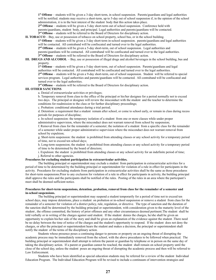**1 st Offense** – students will be given a 3-day short-term, in school suspension. Parents/guardians and legal authorities will be notified. students may receive a short-term, up to 5-day out of school suspension if, in the opinion of the school administration, it is in the best interest of the student body that this action takes place.

**2 nd Offense** – students will be given a 5-day short-term out of school suspension. Conference held with

parents/guardians, student body, and principal. Legal authorities and parents/guardians will be contacted.

**3 rd Offense** – students will be referred to the Board of Directors for disciplinary action.

**II. TOBACCO** – Buy, use or possession of tobacco on school property, school bus, or in the school building.

**1 st Offense** – students will be given a 3-day short-term in-school suspension. parents/guardians and legal authorities will be contacted. All contraband will be confiscated and turned over to the legal authorities.

**2 nd Offense** – students will be given a 5-day short-term, out of school suspension. Legal authorities and

parents/guardians will be contacted. All contraband will be confiscated and turned over to the legal authorities.

**3 rd Offense** – students will be referred to the Board of Directors for disciplinary action.

**III. DRUGS AND ALCOHOL** – Buy, use or possession of illegal drugs and alcohol beverages in the school building, bus and property.

**1 st Offense** – students will be given a 5-day short-term, out of school suspension. Parents/guardians and legal authorities will be contacted. All contraband will be confiscated and turned over to the legal authorities.

**2 nd Offense** – students will be given a 9-day short-term, out of school suspension. Student will be referred to special services program. Legal authorities and parents/guardians will be contacted. All contraband will be confiscated and turned over to the legal authorities.

**3 rd Offense** – students will be referred to the Board of Directors for disciplinary action.

#### **III. OTHER SANCTIONS**

a. Denial of extracurricular activities or privileges;

b. Temporary removal from class to the office of the principal or his/her designee for a period normally not to exceed two days. The principal or designee will review the misconduct with the student and the teacher to determine the conditions for readmission to the class or for further disciplinary proceedings;

c. Probation: conditional attendance during a trial period;

d. Detention: a requirement that a student remain after school, or come to school early, or remain in class during recess periods for purposes of discipline;

e. In-school suspension: the temporary isolation of a student from one or more classes while under proper administrative supervision, where the misconduct does not warrant removal from school by suspension;

f. Removal from class for the remainder of a semester; the isolation of a student from a specific class for the remainder of a semester while under proper administrative supervision where the misconduct does not warrant removal from school by expulsion;

g. Short-term suspension: the student is prohibited from attending classes or any school activity for a temporary period of time, not to exceed ten school days;

h. Long-term suspension; the student is prohibited from attending classes or any school activity for a temporary period of time to be determined by the board of directors;

i. Expulsion: the student is prohibited from attending classes or any school activity for an indefinite period of time;

j. Referral to other agencies.

#### **Procedures for excluding student participation in extracurricular activities.**

The building principal or superintendent may exclude a student from participation in extracurricular activities for a period of time to be determined by the building principal or superintendent for violation of a rule in effect for participants in the activity. Procedures for excluding students from participation in extracurricular activities shall be the same as those procedures for short-term suspensions.Prior to any exclusion for violation of a rule in effect for participants in activity, the building principal shall approve the rules and the participants shall be notified of the rules. Posting of the rules in an area where the participant's meet shall be deemed sufficient notice.

#### **Procedures for short-term suspensions, detention, probation, removal from class for the remainder of a semester and in-school suspensions.**

The building principal or superintendent may suspend a student temporarily for a period of time not to exceed ten school days, may impose detentions, place a student on probation or in-school suspension or remove a student from class for the remainder of a semester for violation of a district policy, rule, regulation, or directive. The type of sanction and the duration of the sanction shall be determined by the building principal or superintendent, with consideration given to the maturity level of the student , the offense committed, the history of prior offenses and any other circumstances deemed pertinent.The student shall be told verbally or in writing of the charges against said student. If the student denies the charges, he/she shall be given an opportunity to explain his/her side of the story and shall be given an explanation of the evidence against the student .There need be no delay between the time of notice of the charges and the student's opportunity to respond. If the student does not deny the charges, or after the principal or superintendent hears the student and makes a decision, the principal or superintendent shall notify the student of the terms of the disciplinary action.

Students whose presence poses a continuing danger to persons or property on an ongoing threat of disrupting the academic process may be immediately removed from the school, with the above procedures to be followed when practical. The building principal or superintendent shall attempt to inform the parent or guardian by telephone or in person on the same day of taking the disciplinary action. If a parent or guardian cannot be reached, the student shall remain on school property until the close of the school day, unless the student poses an ongoing threat of disrupting the academic process and then will be referred to Law Enforcement.

Students who have been identified as special education students may be referred for a review of the student Individual Education Program. The Individual Education Program will be revised to include a continuum of intervention strategies and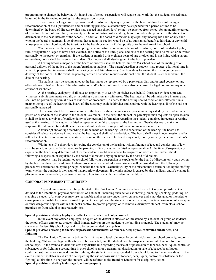programming to change the behavior. All in and out of school suspensions will require that work that the students missed must be turned in the following morning that the suspension is over.

Procedures for long-term suspensions and expulsions. By majority vote of the board of directors, following a recommendation of the superintendent and/or building principal, a student may be suspended for a period of time to be determined by the board of director (which may exceed ten school days) or may be expelled from school for an indefinite period of time for a breach of discipline, immorality, violation of district rules and regulations, or when the presence of the student is detrimental to the best interests of the school. In addition, the board of directors may expel any incorrigible child or any child who, in the board's judgment, is so abnormal that regular instruction would be of no substantial benefit to him/her, or any child whose presence in school would be injurious to the health or morals of other pupils or to the welfare of the school.

Written notice of the charges prompting the administrative recommendation of expulsion, notice of the district policy, rule, or regulation alleged to have been violated, and notice of the time, place, and date of the hearing shall be mailed or delivered personally to the parent or guardian. If the student is married or is eighteen years of age or older and is not living with a parent or guardian; notice shall be given to the student. Such notice shall also be given to the board president.

A hearing before a majority of the board of directors shall be held within five (5) school days of the mailing of or personal delivery of the notice to the parent/guardian or student . The parent/guardian or student may request additional time in which to prepare, but in no event shall the hearing be held later than ten (10) school days following the mailing or personal delivery of the notice. In the event the parent/guardian or student requests additional time, the student is suspended until the date of the hearing.

The student may be accompanied to the hearing or be represented by a parent/guardian and/or legal counsel or any other advisor of his/her choice. The administration and/or board of directors may also be advised by legal counsel or any other advisor of its choice.

At the hearing, each party shall have an opportunity to testify on his/her own behalf. Introduce evidence, present witnesses; submit statements verbally or in writing a question any witnesses. The hearing shall be administrative in nature and shall not be governed by formal rules of evidence or procedure. If a party to the hearing should conduct himself/herself in a manner disruptive of the hearing, the board of directors may exclude him/her and continue with the hearing as if he/she had not personally appeared.

The hearing shall be in closed session of the board of directors unless an open session requested by the student or a parent or custodian of the student if the student is a minor. In the event the student or parent/guardian requests an open session, it shall be deemed a waiver of confidentiality of any personal information regarding the student contained in records or writing used at the hearing. If the student or his/her representative fails to appear at the hearing, or if he/she desires to make no response, the administration shall nevertheless submit evidence in support of the recommendation to expel.

A transcript and/or tape recording shall be made of the hearing. At the conclusion of the hearing, the board shall consider all relevant evidence introduced at the hearing and shall make a decision. The board shall meet in open session and by roll call vote entered in the minutes; make a decision on the merits. The board may adopt, modify, or deny the administration's recommendation.

Within ten (10) school days following the conclusion of the hearing, written findings of fact and conclusions of law shall be sent to or personally delivered to the parent/guardian or student or his/her representative.At the time of suspension or expulsion, the board may determine whether the student should have access to programs or whether the student should following a suspension or expulsion by the board of directors only upon action by the board of directors.

A student may be readmitted to school following a suspension or expulsion by the board of directors only upon action by the board of directors.In addition to these procedures, a special education student will be provided with the following procedures; determination by the principal whether the student is actually guilty of the misconduct; determination by the staffing team whether the conduct is the result of inappropriate placement, if the misconduct is caused by the handicap, and if a change in placement is recommended, a determination as to how to cope with the student in the future.

#### **CORPORAL PUNISHMENT PROHIBITED**

Corporal punishment shall be prohibited in the East Union Community School District. Corporal punishment is defined as the intentional physical punishment of a student , including such actions as shoving, pinching, spanking, paddling, or slapping a student . An employee may use reasonable and necessary under the circumstances and is not designed or intended to cause pain.Reasonable force may be used to protect the employee, the student or other persons, to obtain possession of a weapon or other dangerous objects within a student's control, to protect property, or to remove a disruptive student from class, school premises, or from school sponsored activities.

#### **Special provisions relating to physical attacks or threats to school personnel:**

In the event any officer, employee, or agent of the district is attacked or threatened by a student or group of students, the school officer, employee, or agent shall immediately report the incident to the building principal. The student (s) may be suspended for ten (10) school days and may be recommended for expulsion

#### **Special provisions relating to the use/or possession/transmittal of tobacco, beer, liquor, controlled substances, and fighting:**

The East Union Community School District has zero level tolerance for certain violations on school property, and/or in the building. Without fail legal authorities will be contacted, and the student will be suspended in or out of school for three school days. In the event a student violates any district rule regarding the use of or possession of tobacco, beer, liquor, controlled substances or for fighting a second time in one school year, or a transmittal, distribution, or sale of tobacco, beer, liquor, controlled substances or a second time for fighting, the student may be suspended from school for up to five school days. In the event a student violates any district rule regarding the use of possession of tobacco, beer, liquor, controlled substance or for fighting) a third time in one year, the student will be referred to the Board of Directors for disciplinary action. **Special provisions relating to damage to school property:**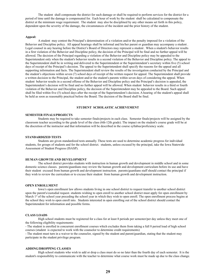The student shall compensate the district for such damage or shall be required to perform services for the district for a period of time until the damage is compensated for. Each hour of work by the student shall be calculated to compensate the district at the minimum wage requirement. The student may also be disciplined by any other means set forth in this policy, dependent upon the severity of the damage, the circumstances of the incident and the prior history of the student.

#### **Appeal:**

A student may contest the Principal's determination of a violation and/or the penalty imposed for a violation of the Behavior and Discipline policy. All appeal hearings shall be informal and his/her parent or guardian may accompany a student . Legal counsel in any hearing before the District's Board of Directors may represent a student . When a student's behavior results in a first violation of the Behavior and Discipline policy, the decision of the Principal will be final and no further appeal will be allowed. The decision of the Principal regarding a violation of the Behavior and Discipline policy may be appealed to the Superintendent only when the student's behavior results in a second violation of the Behavior and Discipline policy. The appeal to the Superintendent shall be in writing and delivered to the Superintendent or the Superintendent's secretary within five (5) school days of receipt of the Principal's decision. The appeal to the Superintendent shall specify the reasons for the appeal and all supporting information and facts. The Superintendent shall review the results of the investigation conducted by the Principal and the student's objections within seven (7) school days of receipt of the written request for appeal. The Superintendent shall provide a written decision to the Principal, the student and/or the student's parents within seven days of considering the appeal. When student behavior results in a second offense of the Behavior and Discipline policy and the Principal's decision is appealed, the Superintendent's decision will be final and no further appeal will be allowed. When student behavior results in a third or fourth violation of the Behavior and Discipline policy, the decision of the Superintendent may be appealed to the Board. Such appeal shall be filed within five (5) school days after the receipt of the Superintendent's decision. A hearing of the student's appeal shall be held as soon as reasonably practical before the Board. The decision of the Board shall be final.

#### **STUDENT SCHOLASTIC ACHIEVEMENT**

#### **SEMESTER FINALS/PROJECTS**

Students may be required to take semester finals/projects in each class. Semester finals/projects will be assigned by the classroom teacher according to the grade level of the class (6th-12th grade). The impact on the student's course grade will be at the discretion of the instructor and that information will be described in the course syllabus/proficiency scale.

#### **STANDARDIZED TESTS**

Students are given standardized tests annually. These tests are used to determine academic progress for individual students, for groups of students and for the school district. students, unless excused by the principal, take the Iowa Statewide Assessment of Student Progress (ISASP).

#### **HUMAN GROWTH AND DEVELOPMENT**

The school district provides students with instruction in human growth and development in middle school and in some domestic science classes. parents/guardians may review the human growth and development curriculum before its use and have their student excused from human growth and development instruction. parents/guardians staff should contact the principal if they wish to review the curriculum or to excuse their student from human growth and development instruction.

#### **OPEN ENROLLMENT**

Iowa's open enrollment law allows students living in one school district to request transfer to another school district upon the parent's/custodial request. students wishing to open enroll to another school district must apply for open enrollment by March 1<sup>st</sup> of the school year preceding the school year in which they wish to open enroll. The open enrollment process begins at the school they wish to open enroll into. Students interested in open enrolling out of the school district should contact the Superintendent for information and possible forms.

#### **CLASS LOADS**

High school students must be registered for a class for at least 8 periods per semester/per day unless they meet one of the following eligibility requirements:

- The student is enrolled in concurrent enrollment courses which excludes them from taking a full 8 period load of high school courses (student is expected to work with the counselor to determine credit requirements)

- The student must turn in a waiver to the counselor, signed by the student and parent/guardian, stating that the student may participate in the student privilege program.

#### **ADDING/DROPPING CLASSES**

High school students who wish to add or drop a class must do so no later than the fourth day of each semester. It is the student's responsibility to communicate with the teacher to determine what course work must be made up due to the class change.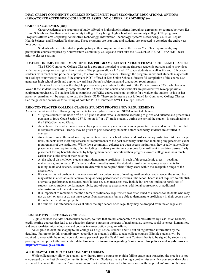#### **DUAL CREDIT COMMUNITY COLLEGE ENROLLMENT POST SECONDARY EDUCATIONAL OPTIONS (PSEO)/CONTRACTED SWCC COLLEGE CLASSES AND CAREER ACADEMIES(28e)**

#### **CAREER ACADEMIES (28e):**

Career Academies are programs of study offered to high school students through an agreement or contract between East Union Schools and Southwestern Community College. They bridge high school and community college CTE programs. Programs offered are: Carpentry, Automotive Technology, Information Technology Systems Networking, Collision Repair, Health Science, and Electrical Technology. These programs are year long and students are expected to complete the entire year long course.

Students who are interested in participating in this program must meet the Senior Year Plus requirements, any prerequisite courses required by Southwestern Community College and must take the ACCUPLACER, ACT or ASSET tests prior to classes starting.

#### **POST SECONDARY ENROLLMENT OPTIONS PROGRAM (PSEO)/CONTRACTED SWCC COLLEGE CLASSES:**

The PSEO/Contracted College Classes is a program intended to promote rigorous academic pursuits and to provide a wider variety of options to high school students. The program allows  $11<sup>th</sup>$  and  $12<sup>th</sup>$  grade students as well as 9th and 10th grade students, with teacher and principal approval, to enroll in college courses. Through the program, individual students may enroll in a college or university course if the course is **NOT** offered at East Union Schools. Successful completion of the course also generates high school credit and applies toward East Union's subject area and graduation requirements.

The school district pays the eligible postsecondary institution for the cost of the PSEO course or \$250, whichever is lower. If the student successfully completes the PSEO course, the course and textbooks are provided free (except possible equipment purchases). If a student fails to complete the PSEO course and is not eligible for a waiver, the student or his or her parent or guardian will be required to pay the district \$250. These guidelines are not followed for Contracted College Classes. See the guidance counselor for a listing of possible PSEO/Contracted SWCC College Classes.

#### **PSEO/CONTRACTED COLLEGE CLASSES STUDENT PROFICIENCY REQUIREMENTS::**

A student must meet the following requirements to be eligible to enroll in PSEO/Contracted classes:

- "Eligible student" includes a  $9<sup>th</sup>$  or  $10<sup>th</sup>$  grade student who is identified according to gifted and talented and procedures pursuant to Iowa Code Section 257.43, or an  $11<sup>th</sup>$  or  $12<sup>th</sup>$  grade student, during the period the student is participating in the PSEO/Contracted Class.
- Acceptance of a student into a course by a post secondary institution is not a guarantee that a student will be enrolled in requested courses. Priority may be given to post secondary students before secondary students are enrolled in courses.
- students must meet the academic requirements of both the school district and post secondary institution. At the college level, students must meet any assessment requirements of the post secondary institution including any placement exam requirements of the institution. While Iowa community colleges are open access institutions, they usually have college placement exam requirements, often including mandatory minimum cut scores for enrollment in certain courses. Early placement testing benefits students by helping them better understand their progress toward college readiness much earlier than at the time of matriculation.
- At the school district level, students must demonstrate proficiency in each of three academic areas reading, mathematics, and science. Proficiency is determined by using the student's results on the spring assessments for reading, math and science. students are determined to be proficient if they score within the acceptable range of the assessment.
- If a student is not proficient in one or more of the content areas of reading, mathematics, and science, the school board may establish alternative but equivalent qualifying performance measures. The school board is not required to establish alternative performance measures, but if it does so, such measures may include but are not limited to portfolios of student work, student performance rubric, end-of-course assessments, additional coursework, or additional administrations of the state assessment.
- It is important to remember that the alternate proficiency requirement was established as a means for students who may not do well on tests or do not have scores from assessments but are able to demonstrate proficiency in their course work through their work and projects.
- If a student has attendance issues at either the high school or college, they may be dropped from the college class.

#### **ELIGIBLE POST SECONDARY COURSES**

Eligible courses include: nonsectarian courses, courses that are not comparable to courses offered by East Union Schools, credit-bearing courses that lead to an education degree, courses in the areas of mathematics, science, social sciences, humanities, and vocational-technical education and courses in career option program offered

An eligible student must apply to the college as a high school student and fill out all registration information by the deadline. Failure to do this promptly may jeopardize the student's ability to take college courses. Eligible students will be required to meet with the school counselor once per week, per the Dual Enrollment Contract that is to be signed by student and parent/guardian prior to the course start date. **For more information regarding Senior Year Plus policies and regulations visit <http://www.iowa.gov/educate>**

#### **WITHDRAWAL FROM POST SECONDARY COURSES**

While colleges may allow the student to withdraw from a course to avoid a failing grade on a transcript, the practice is not encouraged by the East Union Community School District. Students that are having a problem/issue with a post secondary class will need to contact the Success Coordinator and/or the Guidance Counselor for assistance with the problem/issue. Withdrawal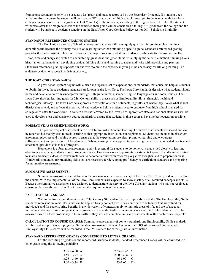from a post secondary is only to be used as a last resort and must be approved by the Secondary Principal. If a student does withdraw from a course the student will be issued a "W" grade on their high school transcript. Students must withdraw from college courses prior to the first grade check (4 ½ weeks) of the semester, according to the high school schedule. If a student withdraws after the first grade check of the semester, their grade will be considered a failing; "F" grade from the college and the student will be subject to academic sanctions in the East Union Good Conduct Policy section XI – Scholastic Eligibility**.**

#### **STANDARDS REFERENCED GRADING SYSTEM**

The East Union Secondary School believes our graduates will be uniquely qualified for continued learning in a dynamic world because the primary focus is on learning rather than attaining a specific grade. Standards referenced grading: provides the purest insight to learning, creates a roadmap to success, and allows students to advocate for themselves. At East Union, time and energy is devoted to encountering great ideas and great literature, applying the scientific method, thinking like a historian or mathematician, developing critical thinking skills and learning to speak and write with precision and passion. Standards referenced grading supports our endeavor to build the capacity in young minds necessary for lifelong learning-- an endeavor critical to success in a thriving society.

#### **THE IOWA CORE STANDARDS**

A great school system begins with a clear and rigorous set of expectations, or standards, that educators help all students to obtain. In Iowa, those academic standards are known as the Iowa Core. The Iowa Core standards describe what students should know and be able to do from kindergarten through 12th grade in math, science, English language arts and social studies. The Iowa Core also sets learning goals for 21st Century skills in areas such as Employability Skills, financial, health and technological literacy. The Iowa Core sets appropriate expectations for all students, regardless of where they live or what school district they attend, and reflects the real-world knowledge and skills students need to graduate from high school prepared for college or to enter the workforce. In content areas not covered by the Iowa Core, appropriate state and national standards will be used to develop clear and consistent course standards to ensure that students in those courses have the best education possible.

#### **FORMATIVE ASSESSMENT/HOMEWORK:**

The goal of frequent assessment is to direct future instruction and learning. Formative assessments are scored and can be recorded but mainly used to track learning so that appropriate instruction can be planned. Students are included in classroom assessment practices and tracking scores to ensure that the expectations are clear, promotes learning and encourages self-assessment and proficiency of the standards. Where learning is developmental and will grow with time, repeated practice and assessment provides evidence of progress.

Homework is a formative assessment, and it is essential for students to do homework that is tied closely to learning objectives and enable students to see those connections. Homework is an opportunity for students to practice skills and activities, to share and discuss ideas, to review materials, to become familiar with resources, organize thoughts, and to prepare for class. Homework is intended for practicing skills that are necessary for developing proficiency of curriculum standards and preparing for summative assessments.

#### **SUMMATIVE ASSESSMENTS:**

Summative assessments are defined as the assessments that show mastery of the Iowa Core Concepts identified within the course. With the implementation of the Iowa Core, students are expected to show mastery of all required concepts and skills. Because the summative assessments are designed to demonstrate mastery of the Iowa Core, any student who has not received a course grade at or above a 1.0 will not have met the requirements of the course.

#### **EMPLOYABILITY SKILLS:**

Within the Iowa Core, there is a set of 21st Century Skills identified as Employability Skills. The Employability Skills standards represent universal skills that can be applied to any content area. They contribute to outcomes that are valued for individuals and for society, bring benefits in a wide variety of contexts, apply to multiple areas of life, and are of use to all individuals, deemphasizing competencies of use only in a specific trade, occupation or walk of life. Each student will also be assessed based on their proficiency in these skills as they work to complete units and assessments within each course they take.

**CALCULATION OF COURSE GRADES:** Summative assessments of content standards and Employability Skills standards will be used to report student progress.. Summative assessment scores will account for 100% of the overall course grade. Employability Skills scores will be recorded in the JMC system for parent/guardian information..

#### **STANDARD REFERENCED GRADES CONVERSION TO LETTER GRADES:**

For the recording of grades on the report card issued to students, Standard Referenced Grades will be converted to a letter grade using the following guideline.

| $3.75 - 4.00$ A  | $2.33 - 2.65$ C+ |        |
|------------------|------------------|--------|
| $3.50 - 3.74$ A- | $2.00 - 2.32$ C  |        |
| $3.25 - 3.49$ B+ | $1.66 - 1.99$ C- |        |
| $3.00 - 3.24$ B  | 1.33-1.65        | $\Box$ |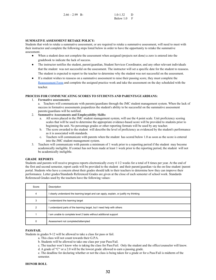#### **SUMMATIVE ASSESSMENT RETAKE POLICY:**

Students that wish to retake a summative assessment, or are required to retake a summative assessment, will need to meet with their instructor and complete the following steps listed below in order to have the opportunity to retake the summative assessment.

- When a student does not complete the assessment when assigned (projects not done) a zero is entered into the gradebook to indicate the lack of success.
- The instructor notifies the student, parent/guardian, Student Services Coordinator, and any other relevant individuals that the student was not successful on the assessment. The instructor will set a specific date for the student to reassess. The student is expected to report to the teacher to determine why the student was not successful on the assessment.
- If a student wishes to reassess on a summative assessment to raise their passing score, they must complete the [Reassessment Form](https://docs.google.com/document/d/1-39436Kd6BNC5ueXobJlLt0ZbjvWTmgVgo3q4HKJtDk/edit?usp=sharing) and complete the assigned practice work and take the assessment on the day scheduled with the teacher.

#### **PROCESS FOR COMMUNICATING SCORES TO STUDENTS AND PARENTS/GUARDIANS:**

#### 1. **Formative assessments:**

- a. Teachers will communicate with parents/guardians through the JMC student management system. When the lack of success in formative assessments jeopardizes the student's ability to be successful on the summative assessment parents/guardians will be notified.
- 2. **Summative Assessments and Employability Skills:**
	- a. All scores placed in the JMC student management system, will use the 4 point scale. Unit proficiency scoring scales that will be used to determine the appropriate evidence-based score will be provided to students prior to beginning the unit. No percentage grades or other reporting formats will be used by any teacher.
	- b. The score awarded to the student will describe the level of proficiency as evidenced by the student's performance as it is associated with standards.
	- c. Teachers will communicate with parents when the student has scored below 1.0 as soon as the score is entered into the JMC student management system.
- 3. Teachers will communicate with parents a minimum of 1 week prior to a reporting period if the student may become academically ineligible. If contact has not been made at least 1 week prior to the reporting period, the student will not be academically ineligible.

#### **GRADE REPORTS**

Students and parents will receive progress reports electronically every 4 1/2 weeks for a total of 8 times per year. At the end of the first and second semester, report cards will be provided to the student and their parent/guardian via the on-line student /parent portal. Students who have a concern about their grades should talk to their teachers to determine how they can improve their performance. Letter grades/Standards Referenced Grades are given at the close of each semester of school work. Standards Referenced Grades used by the teachers have the following values:

| Score          | Description                                                                             |
|----------------|-----------------------------------------------------------------------------------------|
| $\overline{4}$ | I clearly understand the learning target and can apply, explain, or justify my thinking |
| 3              | I understand the learning target                                                        |
| $\mathfrak{p}$ | I understand parts of the learning target, but I need help with others                  |
|                | I am unable to complete level 2 tasks without additional support                        |
| 0              | Assessment not completed/attempted                                                      |

#### **PASS/FAIL**

Students in grades 9-12 will be allowed to take a class for pass or fail.

- a. This class will not count towards their G.P.A.
- b. Students will be allowed to take one class per year Pass/Fail.
- c. The teacher won't know who is taking the class for Pass/Fail. Only the student and the office/counselor will know.
- d. A grade of "C" or a 2.0 will be the lowest grade allowed to earn a passing grade.
- e. The deadline for declaring whether or not the class is being taken for a grade or for a Pass/Fail is midterm of the semester.

#### **HONOR ROLL**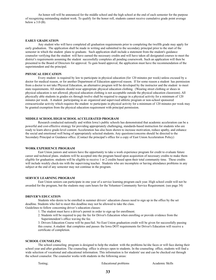An honor roll will be announced for the middle school and the high school at the end of each semester for the purpose of recognizing outstanding student work. To qualify for the honor roll, students cannot receive cumulative grade point average below a 3.0 (B).

#### **EARLY GRADUATION**

Any student who will have completed all graduation requirements prior to completing the twelfth grade may apply for early graduation. The application shall be made in writing and submitted to the secondary principal prior to the start of the semester in which the student plans to graduate. Such application shall include a statement from the student's guidance counselor verifying that the student will have earned the necessary credits and will have taken all designated courses to meet the district's requirements assuming the student successfully completes all pending coursework. Such an application will then be presented to the Board of Directors for approval. To gain board approval, the application must have the recommendation of the superintendent and the principal.

#### **PHYSICAL EDUCATION**

Every student is required by law to participate in physical education (for 120 minutes per week) unless excused by a doctor for medical reason, or for another Department of Education approved reason. If for some reason a student has permission from a doctor to not take Physical Education, an alternative program will be developed by the instructor and the student to meet state requirements. All students should wear appropriate physical education clothing. (Wearing street clothing or shoes in physical education is not allowed; physical education clothing is not acceptable outside the physical education classroom). All physically able students in grades six through twelve shall be required to engage in a physical activity for a minimum of 120 minutes per week. A student participating in an organized and supervised athletic program or non-school sponsored extracurricular activity which requires the student to participate in physical activity for a minimum of 120 minutes per week may be granted exemption from the physical education requirement with principal permission.

#### **MIDDLE SCHOOL/HIGH SCHOOL ACCELERATED PROGRAM**

Research conducted nationally and within Iowa's public schools has demonstrated that academic acceleration can be a powerful and cost-effective strategy for providing appropriately challenging, standards-based instruction for students who are ready to learn above grade-level content. Acceleration has also been shown to increase motivation, reduce apathy, and enhance the social and emotional well being of appropriately selected students. Any questions/concerns should be directed to the Secondary Principal or Guidance office. (Contact the principal's office for a copy of East Union Acceleration Policy)

#### **WORK EXPERIENCE PROGRAM**

East Union juniors and seniors have the opportunity to take a work experience program for credit to evaluate future career and technical plans. students will be accepted into the program based upon acquisition of necessary credits to make them eligible for graduation. students will be eligible to receive 1 or 2 credits based upon their total community time. These credits will include weekly check-ins with the supervising teacher. Students who are incomplete or having attendance problems in any subject at the end of any semester may not continue in the program.

#### **SERVICE LEARNING PROGRAM**

East Union seniors can participate in one year of a service learning program each year. High school credit will not be awarded for the program, but the students may earn hours for the Volunteer Community Service Requirement. (see page 34)

#### **DRIVER'S EDUCATION**

Students who desire to be enrolled in summer drivers' education classes need to sign up in the office by the set deadline. Students who fail to meet this deadline may not be allowed to take the class. Guidelines to follow concerning driver's education classes:

- 1. The student must have a driver's permit in order to sign up for enrollment.
- 2. Students will be required to pay the fee for Driver's Education when enrolling or provide evidence from the Superintendent's office waving the fee.

3. Drivers Education Course will be pass/fail. No East Union graduation credit will be given for successfully passing this course. A student that completes and passes the Iowa DOT requirements for Driver's Education will receive a certificate of completion.

#### **SCHOOL COUNSELING**

The school counseling program is designed to help the student with the problems he/she faces or will face during their school year and after graduation. The counseling office is always open to students. In the counseling office, students will find a wide selection of vocational and educational information. This information is for students' use and can be checked out through the school counselor. The counselor works with students in the following areas:

Testing; Educational problems Academic Skills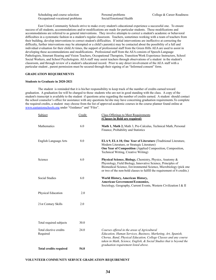Scheduling and course selection Personal problems College & Career Readiness Occupational-vocational problems Social/Emotional Health

East Union Community Schools strive to make every student's educational experience a successful one. To ensure success of all students, accommodations and/or modifications are made for particular students. These modifications and accommodations are referred to as general interventions. They involve attempts to correct a student's academic or behavioral difficulties in a systematic fashion in a student's regular classroom. Teachers, sometimes working with a team of teachers from their building, develop interventions to correct student's difficulties. If initial interventions are ineffective at correcting the difficulty, further interventions may be attempted or a child's parent(s) may be contacted about the possibility of a full and individual evaluation for their child.At times, the support of professional staff from the Green Hills AEA are used to assist in developing these accommodations and modifications. Professional staff from the AEA consists of Speech-Language Pathologists, Itinerant Hearing and Vision Teachers, Occupational Therapists, Transition/Work Experience Instructors, School Social Workers, and School Psychologists. AEA staff may assist teachers through observations of a student in the student's classroom, and through review of a student's educational record. Prior to any direct involvement of the AEA staff with a particular student , parent permission must be secured through their signing of an "Informed consent" form.

#### **GRADUATION REQUIREMENTS**

#### **Students to Graduate in 2020-2021**

The student is reminded that it is his/her responsibility to keep track of the number of credits earned toward graduation. A graduation fee will be charged to those students who are not in good standing with the class. A copy of the student's transcript is available to the student if questions arise regarding the number of credits earned. A student should contact the school counselor's office for assistance with any questions he/she may have concerning graduation requirements.To complete the required credits, a student may choose from the list of approved academic courses in the course planner found online at [www.eastunionschools.org](http://www.eastunionschools.org) under "Guidance" and "Files".

| Subject                            | Credit | <b>Class Offerings to Meet Requirements</b><br>(Classes in Bold are required)                                                                                                                                                                                                                     |
|------------------------------------|--------|---------------------------------------------------------------------------------------------------------------------------------------------------------------------------------------------------------------------------------------------------------------------------------------------------|
| Mathematics                        | 6.0    | Math 1, Math 2, Math 3, Pre-Calculus, Technical Math, Personal<br>Finance, Probability and Statistics                                                                                                                                                                                             |
| English Language Arts              | 8.0    | ELA 9, ELA 10, One Year of Literature (Traditional Literature,<br>Modern Literature, or Strategic Literature)<br>One Year of Composition (Applied Composition, Composition,<br>Technical Writing, Creative Writing)                                                                               |
| Science                            | 6.0    | Physical Science, Biology, Chemistry, Physics, Anatomy &<br>Physiology, Field Biology, Innovative Science, Principles of<br>Biomedical Science, Environmental Science, Microbiology (pick one<br>or two of the non-bold classes to fulfill the requirement of 6 credits.)                         |
| <b>Social Studies</b>              | 6.0    | World History, American History,<br><b>American Government/Economics,</b><br>Sociology, Geography, Current Events, Western Civilization I & II                                                                                                                                                    |
| Physical Education                 | 2.0    |                                                                                                                                                                                                                                                                                                   |
| 21st Century Skills                | 2.0    |                                                                                                                                                                                                                                                                                                   |
| Total required subjects            | 30.0   |                                                                                                                                                                                                                                                                                                   |
| Total elective credits<br>Required | 24.0   | Courses offered in the areas of Agricultural<br>Education, Human Services, Business, Marketing, Art, Spanish,<br>Chorus, Band, Physical Education, College Classes and any course<br>taken in Math, Science, English, & Social Studies that is beyond the<br>graduation requirement listed above. |
| <b>Total credits required</b>      | 54.0   |                                                                                                                                                                                                                                                                                                   |

#### **VOLUNTEER COMMUNITY SERVICE GRADUATION REQUIREMENT**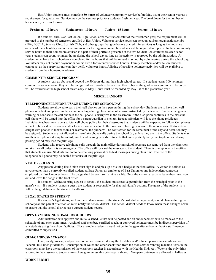East Union students must complete **50 hours** of volunteer community service before May 1st of their senior year as a requirement for graduation. Service may be the summer prior to a student's freshmen year. The breakdown for the number of hours **each** year is as follows:

#### **Freshmen - 10 hours Sophomores - 10 hours Juniors - 15 hours Seniors - 15 hours**

If a student enrolls at East Union High School after the first semester of their freshmen year, the requirement will be prorated to the number of semesters enrolled at East Union. Volunteer service hours can be counted from organizations/clubs (FFA, FCCLA, Science Club, Spanish Club, and other groups that give honors or credit for service) as long as the hours are outside of the school day and not a requirement for the organization/club. students will be required to report volunteer community service hours to their homeroom advisor as a part of their portfolio presented at the two Student Led conferences each school year. students can count volunteer hours during the school day as long as the activity is approved by the administration. A student must have their schoolwork completed for the hours that will be missed in school by volunteering during the school day. Volunteers may not receive payment or course credit for volunteer service honors. Family members and/or fellow students cannot act as the supervisor nor can they verify volunteer hours. A listing of possible volunteer activities will be available to students from their homeroom advisor.

#### **COMMUNITY SERVICE PROGRAM**

A student can go above and beyond the 50 hours during their high school career. If a student earns 100 volunteer community service hours, they will be recognized with cords to be worn on their robes at the graduation ceremony. The cords will be awarded at the high school awards day in May. Hours must be recorded by May 1st of the graduation year.

#### **MISCELLANEOUS**

#### **TELEPHONE/CELL PHONE USAGE DURING THE SCHOOL DAY**

Students are allowed to carry their cell phones on their person during the school day. Students are to have their cell phones on silent and placed in their computer bags during class unless otherwise instructed by the teacher. Teachers can give a warning or confiscate the cell phone if the cell phone is disruptive in the classroom. If the disruption continues in the class the cell phone will be turned into the office for a parent/guardian to pick up. Repeat offenders will lose the phone privileges. Individual teachers may have a stricter cell phone policy for their classrooms that students will be expected to follow. Cell phones are not to be used in restrooms and/or locker room areas due to the concern of having cameras in these locations. If students are caught with phones in locker rooms or restrooms, the phone will be confiscated for the remainder of the day and detention may be assigned. Students are not allowed to make/take phone calls during the school day unless they are in the office. Students may use their cell phones during breakfast, lunch, and passing periods. Students that are repeatedly tardy due to phone use during passing period may lose the privilege.

Students who receive telephone calls through the main office during school hours are not removed from the classroom to take the call unless it is an emergency. The office will forward the message to the student . There is a telephone in the office that students can use. Students are not to be receiving personal calls/text messages during class time. The use of the telephone/cell phone may be denied for abuse of the privilege.

#### **VISITORS/GUESTS**

Any person visiting East Union must sign in and pick up a visitor's badge at the front office. A visitor is defined as anyone other than a currently enrolled student at East Union, an employee of East Union, or any independent contractor employed by East Union Schools. The badge shall be worn so that it is visible. Once the visitor is ready to leave they must sign out and leave the badge at the front office.

If a student wishes to bring a guest to school, the student must receive permission from the principal prior to the guest's visit. If a student brings a guest, the student is responsible for that individual's actions. The guest of the student is to follow the guidelines of the student handbook.

#### **LEGAL STATUS OF STUDENT**

If a student's legal status, such as the student's name or the student's custodial arrangement, should change during the school year, the parent or custodian must notify the school district. The school district needs to know when these changes occur to ensure that the school district has a current student record.

#### **OPEN GYM DURING NON-SCHOOL HOURS**

Administration will approve and initial a schedule that will be posted and an announcement will be made as to the schedule of any open gym times. A school staff member, certified coach, or approved volunteer must be in direct supervision of any students using the school facilities. (For example: students should not be in the gym after school without a staff member committed to supervise.)

#### **GUM/CANDY/SNACKS/POP**

Gum, candy, snacks, and pop are not to be consumed during the breakfast and/or lunch periods in accordance with Federal Hot Lunch guidelines. Consumption of water and other snack food from the food service vending machine items in the classroom must have the permission of the classroom teacher in accordance with the Healthy Kids Act. Water is the only drink allowed in the classroom. Students may chew gum unless this privilege is abused. No open containers are allowed in hallways.

#### **WORK PERMIT**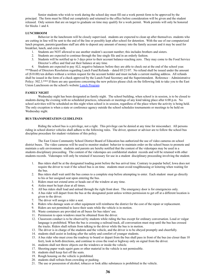Senior students who wish to work during the school day must fill out a work permit form to be approved by the principal. The form must be filled out completely and returned to the office before consideration will be given and the student released. Only seniors that are on target to graduate on time may qualify for a work permit. Work permits will only be honored for blocks 1 and 4.

#### **LUNCHROOM**

Behavior in the lunchroom will be closely supervised. students are expected to clean up after themselves. students who are cutting in line will be sent to the end of the line or possibly kept after school for detention. With the use of our computerized lunch program, parents/guardians staff are able to deposit any amount of money into the family account and it may be used for breakfast, lunch, and extra milk.

- 1. Students are NOT allowed to use another student's account number; this includes brothers and sisters.
- 2. Students are expected to continue through the line single file and in an orderly fashion.
- 3. Students will be notified up to 3 days prior to their account balance-reaching zero. They may come to the Food Service Director's office and find out their balance at any time.

4. Students are expected to pay ALL negative balances before they are able to check out at the end of the school year. **\*\*\***Board of Directors Resolution regarding Lunch Fund Refunds – dated 05/21/07. No refund shall be issued under the amount of (\$10.00) ten dollars without a written request for the account holder and must include a current mailing address. All refunds shall be issued in the form of a check approved by the Lunch Fund Secretary and the Superintendent. Reference – Administrative Policy: 502.3.\*\*\* If there are any questions concerning the new policies please click on the following link to take you to the East Union Lunchroom on the school's website [Lunch Program](http://www.eastunionschools.org/?PageName=%27LunchProgram)

#### **FAMILY NIGHT**

Wednesday night has been designated as family night. The school building, when school is in session, is to be closed to students during the evening with no scheduled practices, rehearsals or meetings of any kind taking place after 6:00 p.m. No school activities will be scheduled on this night when school is in session, regardless of the place where the activity is being held. The only exception is when a state or conference agency outside the school schedules tournaments or meetings to be held on Wednesday night.

#### **BUS TRANSPORTATION GUIDELINES**

Riding the school bus is a privilege, not a right. This privilege can be denied at any time for misconduct. All persons riding in school district vehicles shall adhere to the following rules. The driver, sponsor or advisor are to follow the school bus discipline procedure for student violations of this policy.

The East Union Community School District Board of Education has authorized the use of video cameras on school district buses. The video cameras will be used to monitor student behavior to maintain order on the school buses to promote and maintain a safe environment. students and parents are hereby notified that the content of the videotapes may be used in a students disciplinary proceeding. The content of the videotapes are confidential student records and will be retained with other students records. Videotapes will only be retained if necessary for use in a student disciplinary proceeding involving the student.

- 1. Bus riders shall be at the designated loading point before the bus arrival time. Contrary to popular belief, Iowa does not require the driver to wait if the school bus is on time. students must avoid roughhousing or loitering when waiting for the bus.
- 2. Bus riders shall wait until the bus comes to a complete stop before attempting to enter. Each student must go directly to his or her assigned seat upon entering the bus.
- 3. Riders must not extend arms or heads out of the window at any time.
- 4. Aisles must be kept clear at all times.
- 5. All bus riders shall load and unload through the right front door. The emergency door is for emergencies only.
- 6. A bus rider will depart from the bus at the designated point unless written permission to get off at a different location is given to the driver.
- 7. The driver will assign a rider a seat.
- 8. Riders who damage seats or other equipment will reimburse the district for the cost of the repair or replacement.
- 9. Riders are not permitted to leave their seats while the vehicle is in motion.
- 10. Waste containers are provided on all buses for bus riders' use.
- 11. Permission to open windows must be obtained from the driver.
- 12. Classroom conduct is to be observed by students while riding the bus except for ordinary conversation. Loud or vulgar language is prohibited. When the bus is crossing a railroad track, all conversation must stop until the bus has crossed the tracks. Riders shall refrain from talking to the driver while the bus is in motion.
- 13. The driver is in charge of the students and the vehicle, and the driver is to be obeyed promptly and cheerfully.
- 14. students shall assist in looking after the safety and comfort of younger students.
- 15. A bus rider who must cross the roadway to board or depart from the bus shall pass in front of the bus (no closer than 10 feet), look in both directions, and continue to cross the road or highway only on signal from the driver.
- 16. students shall not throw objects out the windows or inside the vehicle.
- 17. Shooting paper wads squirt guns or other material in the vehicle is not permissible.
- 18. students shall keep feet off the seats.
- 19. Rough housing on the vehicle is prohibited.
- 20. students shall refrain from crowding or pushing.
- 21. The use or possession of alcohol, tobacco or look alike substances is prohibited in the vehicle.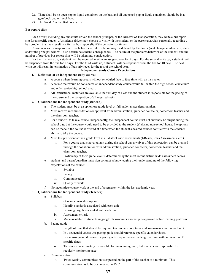- 22. There shall be no open pop or liquid containers on the bus, and all unopened pop or liquid containers should be in a gym/book bag or lunch box.
- 23. The Good Conduct Rule is in effect.

#### **Bus report slips**

Each driver, including any substitute driver, the school principal, or the Director of Transportation, may write a bus report slip for a specific student . A student's driver may choose to visit with the student or the parent/guardian personally regarding a bus problem that may result in a formal bus report slip if the behavior continues.

Consequences for inappropriate bus behavior or rule violation may be delayed by the driver (seat change, conferences, etc.) and/or the principal who will also determine student consequences. The nature of the problems/behavior of the student and the number of previous bus report slips will be taken into consideration.

For the first write up, a student will be required to sit in an assigned seat for 5 days. For the second write up, a student will be suspended from the bus for 5 days. For the third write up, a student will be suspended from the bus for 10 days. The next write up will result in termination of bus privileges for the rest of the school year.

#### **Independent Study Course Expectations**

#### **1. Definition of an independent study course:**

- a. A course where learning occurs without scheduled face to face time with an instructor.
- b. A course that would be considered an independent study course would fall within the high school curriculum and only receive high school credit.
- c. All instructional materials are available the first day of class and the student is responsible for the pacing of the course and the completion of all required tasks.

#### **2. Qualifications for Independent Study(student ):**

- a. The student must be at a sophomore grade level or fall under an acceleration plan.
- b. Must receive recommendations or approval from administration, guidance counselor, homeroom teacher and the classroom teacher.
- c. For a student to take a course independently, the independent course must not currently be taught during the school day, but the course would need to be provided to the student (s) during non-school hours. Exceptions can be made if the course is offered at a time when the student's desired courses conflict with the student's ability to take the course.
- d. Must test proficient at their grade level in all district wide assessments (I-Ready, Iowa Assessments, etc.).
	- i. For a course that is never taught during the school day a waiver of this expectation can be attained through the collaboration with administration, guidance counselor, homeroom teacher and the classroom teacher.
	- ii. Proficiency at their grade level is determined by the most recent district wide assessment scores.
- e. student and parent/guardian must sign contract acknowledging their understanding of the following expectations of the course:
	- i. Syllabus
	- ii. Pacing
	- iii. Communication
	- iv. Quality of work
- f. No incomplete course work at the end of a semester within the last academic year.

#### 3. **Qualifications for Independent Study (Teacher):**

- a. Syllabus
	- i. General course description
	- ii. Identify standards associated with each unit
	- iii. Learning targets associated with each unit
	- iv. Assessment criteria
	- v. Made available to students in google classroom or another pre-approved online learning platform
- b. Pacing guide
	- i. Length of time that should be required to complete core tasks and assessments within each unit.
	- ii. In a sequential course this pacing guide should reference specific calendar dates.
	- iii. In a non-sequential course the pace guide may reference the length of time without mention of specific dates.
	- iv. The student is ultimately responsible for maintaining pace, but teachers are responsible for regularly monitoring pace
- c. Communication
	- i. Twice weekly communication is expected on the part of the teacher at a minimum. This communication is to be documented in JMC.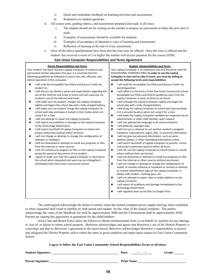- ii. Quick and immediate feedback on learning activities and assessments.
- iii. Responsive to student questions.
- d. All course units, grading rubrics, and assessments prepared and ready at all times.
	- i. The student should not be waiting on the teacher to prepare an assessment or share the next unit of study
	- ii. Examples of assessments should be available for students.
	- iii. Examples of acceptance of alternative ways of learning and assessments.
	- iv. Reflection of learning at the end of every assessment.
- e. Once all the above qualifications have been met the class may be offered. Once the class is offered and the student has received a score of 3 or higher the teacher will receive payment for the course (\$200)

#### **East Union Computer Responsibilities and Terms Agreement**

| <b>Parent Responsibilities and Terms</b>                                                                                                                                                                                                                                                                                                                                                                                                                                                                                                                                                                                                                                                                                                                                                                                                                                                                                                                                                                                                                                                                                                                                                                                                                                                                                       | <b>Student Responsibilities and Terms</b>                                                                                                                                                                                                                                                                                                                                                                                                                                                                                                                                                                                                                                                                                                                                                                                                                                                                                                                                                                                                                                                                                                                                                                                                                                                                                                                                                                                                                                                                                                                                                                                                                                                                                                                                                                                                                                                               |
|--------------------------------------------------------------------------------------------------------------------------------------------------------------------------------------------------------------------------------------------------------------------------------------------------------------------------------------------------------------------------------------------------------------------------------------------------------------------------------------------------------------------------------------------------------------------------------------------------------------------------------------------------------------------------------------------------------------------------------------------------------------------------------------------------------------------------------------------------------------------------------------------------------------------------------------------------------------------------------------------------------------------------------------------------------------------------------------------------------------------------------------------------------------------------------------------------------------------------------------------------------------------------------------------------------------------------------|---------------------------------------------------------------------------------------------------------------------------------------------------------------------------------------------------------------------------------------------------------------------------------------------------------------------------------------------------------------------------------------------------------------------------------------------------------------------------------------------------------------------------------------------------------------------------------------------------------------------------------------------------------------------------------------------------------------------------------------------------------------------------------------------------------------------------------------------------------------------------------------------------------------------------------------------------------------------------------------------------------------------------------------------------------------------------------------------------------------------------------------------------------------------------------------------------------------------------------------------------------------------------------------------------------------------------------------------------------------------------------------------------------------------------------------------------------------------------------------------------------------------------------------------------------------------------------------------------------------------------------------------------------------------------------------------------------------------------------------------------------------------------------------------------------------------------------------------------------------------------------------------------------|
| Your student has been loaned a Laptop Computer to improve and                                                                                                                                                                                                                                                                                                                                                                                                                                                                                                                                                                                                                                                                                                                                                                                                                                                                                                                                                                                                                                                                                                                                                                                                                                                                  | Your Laptop Computer is an important tool and should be used for                                                                                                                                                                                                                                                                                                                                                                                                                                                                                                                                                                                                                                                                                                                                                                                                                                                                                                                                                                                                                                                                                                                                                                                                                                                                                                                                                                                                                                                                                                                                                                                                                                                                                                                                                                                                                                        |
| personalize his/her education this year. It is essential that the                                                                                                                                                                                                                                                                                                                                                                                                                                                                                                                                                                                                                                                                                                                                                                                                                                                                                                                                                                                                                                                                                                                                                                                                                                                              | EDUCATIONAL PURPOSES ONLY. In order to use the Laptop                                                                                                                                                                                                                                                                                                                                                                                                                                                                                                                                                                                                                                                                                                                                                                                                                                                                                                                                                                                                                                                                                                                                                                                                                                                                                                                                                                                                                                                                                                                                                                                                                                                                                                                                                                                                                                                   |
| following guidelines be followed to ensure the safe, efficient, and                                                                                                                                                                                                                                                                                                                                                                                                                                                                                                                                                                                                                                                                                                                                                                                                                                                                                                                                                                                                                                                                                                                                                                                                                                                            | Computer in class and to take it home, you must be willing to                                                                                                                                                                                                                                                                                                                                                                                                                                                                                                                                                                                                                                                                                                                                                                                                                                                                                                                                                                                                                                                                                                                                                                                                                                                                                                                                                                                                                                                                                                                                                                                                                                                                                                                                                                                                                                           |
| ethical operation of this computer.                                                                                                                                                                                                                                                                                                                                                                                                                                                                                                                                                                                                                                                                                                                                                                                                                                                                                                                                                                                                                                                                                                                                                                                                                                                                                            | accept the following terms and responsibilities:                                                                                                                                                                                                                                                                                                                                                                                                                                                                                                                                                                                                                                                                                                                                                                                                                                                                                                                                                                                                                                                                                                                                                                                                                                                                                                                                                                                                                                                                                                                                                                                                                                                                                                                                                                                                                                                        |
| I will read the Acceptable Use Policy and discuss it with my                                                                                                                                                                                                                                                                                                                                                                                                                                                                                                                                                                                                                                                                                                                                                                                                                                                                                                                                                                                                                                                                                                                                                                                                                                                                   | I will read the Acceptable Use Policy and discuss it with my                                                                                                                                                                                                                                                                                                                                                                                                                                                                                                                                                                                                                                                                                                                                                                                                                                                                                                                                                                                                                                                                                                                                                                                                                                                                                                                                                                                                                                                                                                                                                                                                                                                                                                                                                                                                                                            |
| ★                                                                                                                                                                                                                                                                                                                                                                                                                                                                                                                                                                                                                                                                                                                                                                                                                                                                                                                                                                                                                                                                                                                                                                                                                                                                                                                              | $\star$                                                                                                                                                                                                                                                                                                                                                                                                                                                                                                                                                                                                                                                                                                                                                                                                                                                                                                                                                                                                                                                                                                                                                                                                                                                                                                                                                                                                                                                                                                                                                                                                                                                                                                                                                                                                                                                                                                 |
| student (s).<br>★<br>I will discuss our family's values and expectations regarding the<br>use of the Internet and email at home and will supervise my<br>student's use of the Internet and email.<br>I will make sure my student charges the Laptop Computer<br>★<br>nightly and begins the school day with a fully charged battery.<br>I will make sure my student brings the Laptop Computer to<br>★<br>school each day and keeps it locked in their locker when not<br>using it for a class.<br>I will not attempt to repair the Laptop Computer<br>$\star$<br>$\star$<br>I will report any problems or damage to the Laptop Computer<br>to the Technology Department.<br>$\star$<br>I will report loss/theft of Laptop Computer to school and<br>proper authorities (police) within 24 hours.<br>I will not change or attempt to change the configuration of<br>$\star$<br>software or hardware.<br>I will not download or attempt to install any programs or files<br>★<br>from the Internet or other sources.<br>I will not remove any program or files on the Laptop Computer<br>$\star$<br>except for personal documents of my student.<br>I agree to make sure that the Laptop Computer is returned to<br>★<br>the school when requested and upon my son's/daughter's<br>withdrawal from East Union Community School. | parent/guardian.<br>$\star$<br>I will adhere to the terms of the East Union Community School<br>Acceptable Use Policy and District guidelines each time the<br>Laptop Computer is used, at home or at school<br>I will recharge the Laptop Computer nightly and begin the<br>$\star$<br>school day with a fully charged battery<br>★<br>I will bring the Laptop Computer to school each day and keep<br>it in a secured location when not using it for a class<br>$\star$<br>I will make the Laptop Computer available for inspection by an<br>administrator or other staff member upon request<br>$\star$<br>I will use appropriate language in all communications<br>$\star$<br>I will abide by copyright laws<br>$\star$<br>I will not use or attempt to use another student's assigned<br>hardware, subscriptions, logins, files, or personal information<br>$\star$<br>I will not give out personal information, such as name,<br>address, photo, or other identifying information online<br>$\star$<br>I will report loss/theft of Laptop Computer to parents, school<br>and proper authorities (police) within 24 hours<br>$\star$<br>I will not use the Laptop Computer to record (audio or visual)<br>others without their permission<br>$\star$<br>I will not download or attempt to install any programs or files<br>from the Internet or other sources without permission<br>I will not change or attempt to change the configuration of,<br>$\star$<br>install, or remove software or hardware or remove or attempt<br>to remove identification tags on the Laptop Computer or<br>deface with stickers, marking pens, etc.<br>$\star$<br>I will not attempt to repair, alter or make additions to the<br>Laptop Computer<br>I will report all problems and damage immediately to the<br>$\star$<br><b>Technology Department</b><br>I will regularly back up my files to Google Drive.<br>★ |

The undersigned acknowledge the failure to timely return the loaned computer/power supply/and bag when scheduled or when requested shall result in liability by both parent and student for the value of the loaned computer. The parties acknowledge the value of the MacBook Air shall be approximately \$900 and the Chromebook shall be approximately \$300. Parents are signing this agreement as guarantors for the child/children.

Iowa Code and Board Policy allow the District to obtain reimbursement from, or on behalf of, students for any damage to, loss of, or failure to return school property. Borrower acknowledges and agrees that Borrower's use of the District Property is a privilege and that by Borrower's agreement to the terms hereof, Borrower acknowledges Borrower's responsibility to protect and safeguard the District Property and to return the same in good condition and repair upon request by East Union Community School.

#### **I agree to follow the East Union Community School Responsibilities/Terms at all times.**

| <b>Student Signature:</b> | Date:              | <b>Grade:</b> |
|---------------------------|--------------------|---------------|
| <b>Parent Signature:</b>  | <b>Print Name:</b> |               |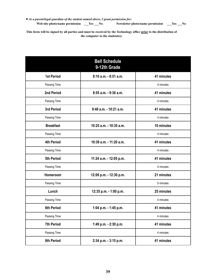✦*As a parent/legal guardian of the student named above, I grant permission for:*

**Web-site photo/name permission \_\_\_Yes \_\_\_No Newsletter photo/name permission \_\_\_Yes \_\_\_No**

**This form will be signed by all parties and must be received by the Technology office prior to the distribution of the computer to the student(s).**

|                   | <b>Bell Schedule</b><br>9-12th Grade |            |
|-------------------|--------------------------------------|------------|
| <b>1st Period</b> | 8:10 a.m. - 8:51 a.m.                | 41 minutes |
| Passing Time      |                                      | 4 minutes  |
| 2nd Period        | 8:55 a.m. - 9:36 a.m.                | 41 minutes |
| Passing Time      |                                      | 4 minutes  |
| 3rd Period        | 9:40 a.m. - 10:21 a.m.               | 41 minutes |
| Passing Time      |                                      | 4 minutes  |
| <b>Breakfast</b>  | 10:25 a.m. - 10:35 a.m.              | 10 minutes |
| Passing Time      |                                      | 4 minutes  |
| <b>4th Period</b> | 10:39 a.m. - 11:20 a.m.              | 41 minutes |
| Passing Time      |                                      | 4 minutes  |
| <b>5th Period</b> | 11:24 a.m. - 12:05 p.m.              | 41 minutes |
| Passing Time      |                                      | 4 minutes  |
| Homeroom          | 12:09 p.m. - 12:30 p.m.              | 21 minutes |
| Passing Time      |                                      | 5 minutes  |
| Lunch             | 12:35 p.m. - 1:00 p.m.               | 25 minutes |
| Passing Time      |                                      | 4 minutes  |
| <b>6th Period</b> | 1:04 p.m. - 1:45 p.m.                | 41 minutes |
| Passing Time      |                                      | 4 minutes  |
| <b>7th Period</b> | 1:49 p.m. - 2:30 p.m.                | 41 minutes |
| Passing Time      |                                      | 4 minutes  |
| 8th Period        | 2:34 p.m. - 3:15 p.m.                | 41 minutes |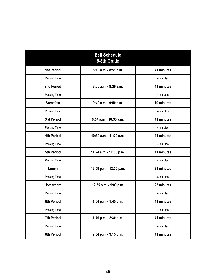|                   | <b>Bell Schedule</b><br>6-8th Grade |            |
|-------------------|-------------------------------------|------------|
| <b>1st Period</b> | 8:10 a.m. - 8:51 a.m.               | 41 minutes |
| Passing Time      |                                     | 4 minutes  |
| 2nd Period        | 8:55 a.m. - 9:36 a.m.               | 41 minutes |
| Passing Time      |                                     | 4 minutes  |
| <b>Breakfast</b>  | 9:40 a.m. - 9:50 a.m.               | 10 minutes |
| Passing Time      |                                     | 4 minutes  |
| 3rd Period        | 9:54 a.m. - 10:35 a.m.              | 41 minutes |
| Passing Time      |                                     | 4 minutes  |
| <b>4th Period</b> | 10:39 a.m. - 11:20 a.m.             | 41 minutes |
| Passing Time      |                                     | 4 minutes  |
| 5th Period        | 11:24 a.m. - 12:05 p.m.             | 41 minutes |
| Passing Time      |                                     | 4 minutes  |
| Lunch             | 12:09 p.m. - 12:30 p.m.             | 21 minutes |
| Passing Time      |                                     | 5 minutes  |
| Homeroom          | 12:35 p.m. - 1:00 p.m.              | 25 minutes |
| Passing Time      |                                     | 4 minutes  |
| <b>6th Period</b> | 1:04 p.m. - 1:45 p.m.               | 41 minutes |
| Passing Time      |                                     | 4 minutes  |
| 7th Period        | 1:49 p.m. - 2:30 p.m.               | 41 minutes |
| Passing Time      |                                     | 4 minutes  |
| 8th Period        | 2:34 p.m. - 3:15 p.m.               | 41 minutes |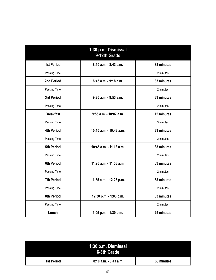|                   | 1:30 p.m. Dismissal<br>9-12th Grade |            |
|-------------------|-------------------------------------|------------|
| <b>1st Period</b> | 8:10 a.m. - 8:43 a.m.               | 33 minutes |
| Passing Time      |                                     | 2 minutes  |
| 2nd Period        | 8:45 a.m. - 9:18 a.m.               | 33 minutes |
| Passing Time      |                                     | 2 minutes  |
| 3rd Period        | 9:20 a.m. - 9:53 a.m.               | 33 minutes |
| Passing Time      |                                     | 2 minutes  |
| <b>Breakfast</b>  | $9:55$ a.m. $-10:07$ a.m.           | 12 minutes |
| Passing Time      |                                     | 3 minutes  |
| <b>4th Period</b> | 10:10 a.m. - 10:43 a.m.             | 33 minutes |
| Passing Time      |                                     | 2 minutes  |
| <b>5th Period</b> | 10:45 a.m. - 11.18 a.m.             | 33 minutes |
| Passing Time      |                                     | 2 minutes  |
| <b>6th Period</b> | 11:20 a.m. - 11:53 a.m.             | 33 minutes |
| Passing Time      |                                     | 2 minutes  |
| <b>7th Period</b> | 11:55 a.m. - 12:28 p.m.             | 33 minutes |
| Passing Time      |                                     | 2 minutes  |
| <b>8th Period</b> | 12:30 p.m. - 1:03 p.m.              | 33 minutes |
| Passing Time      |                                     | 2 minutes  |
| Lunch             | 1:05 p.m. - 1:30 p.m.               | 25 minutes |

|                   | 1:30 p.m. Dismissal<br>6-8th Grade |            |
|-------------------|------------------------------------|------------|
| <b>1st Period</b> | 8:10 a.m. - 8:43 a.m.              | 33 minutes |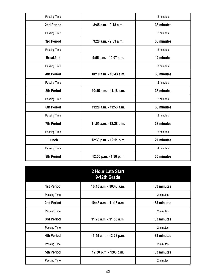| Passing Time      |                         | 2 minutes  |
|-------------------|-------------------------|------------|
| 2nd Period        | 8:45 a.m. - 9:18 a.m.   | 33 minutes |
| Passing Time      |                         | 2 minutes  |
| 3rd Period        | 9:20 a.m. - 9:53 a.m.   | 33 minutes |
| Passing Time      |                         | 2 minutes  |
| <b>Breakfast</b>  | 9:55 a.m. - 10:07 a.m.  | 12 minutes |
| Passing Time      |                         | 3 minutes  |
| <b>4th Period</b> | 10:10 a.m. - 10:43 a.m. | 33 minutes |
| Passing Time      |                         | 2 minutes  |
| 5th Period        | 10:45 a.m. - 11.18 a.m. | 33 minutes |
| Passing Time      |                         | 2 minutes  |
| <b>6th Period</b> | 11:20 a.m. - 11:53 a.m. | 33 minutes |
| Passing Time      |                         | 2 minutes  |
| <b>7th Period</b> | 11:55 a.m. - 12:28 p.m. | 33 minutes |
| Passing Time      |                         | 2 minutes  |
| Lunch             | 12:30 p.m. - 12:51 p.m. | 21 minutes |
| Passing Time      |                         | 4 minutes  |
| <b>8th Period</b> | 12:55 p.m. - 1:30 p.m.  | 35 minutes |

|                   | 2 Hour Late Start<br>9-12th Grade |            |
|-------------------|-----------------------------------|------------|
| <b>1st Period</b> | 10:10 a.m. - 10:43 a.m.           | 33 minutes |
| Passing Time      |                                   | 2 minutes  |
| 2nd Period        | 10:45 a.m. - 11:18 a.m.           | 33 minutes |
| Passing Time      |                                   | 2 minutes  |
| 3rd Period        | 11:20 a.m. - 11:53 a.m.           | 33 minutes |
| Passing Time      |                                   | 2 minutes  |
| <b>4th Period</b> | 11:55 a.m. - 12:28 p.m.           | 33 minutes |
| Passing Time      |                                   | 2 minutes  |
| 5th Period        | 12:30 p.m. - 1:03 p.m.            | 33 minutes |
| Passing Time      |                                   | 2 minutes  |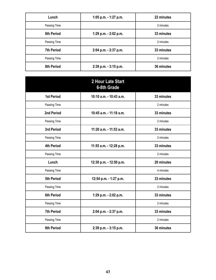| Lunch             | 1:05 p.m. $-$ 1:27 p.m. | 22 minutes |
|-------------------|-------------------------|------------|
| Passing Time      |                         | 2 minutes  |
| <b>6th Period</b> | 1:29 p.m. - 2:02 p.m.   | 33 minutes |
| Passing Time      |                         | 2 minutes  |
| <b>7th Period</b> | 2:04 p.m. - 2:37 p.m.   | 33 minutes |
| Passing Time      |                         | 2 minutes  |
| 8th Period        | 2:39 p.m. - 3:15 p.m.   | 36 minutes |

|                   | 2 Hour Late Start<br>6-8th Grade |            |
|-------------------|----------------------------------|------------|
| <b>1st Period</b> | 10:10 a.m. - 10:43 a.m.          | 33 minutes |
| Passing Time      |                                  | 2 minutes  |
| 2nd Period        | 10:45 a.m. - 11:18 a.m.          | 33 minutes |
| Passing Time      |                                  | 2 minutes  |
| 3rd Period        | 11:20 a.m. - 11:53 a.m.          | 33 minutes |
| Passing Time      |                                  | 2 minutes  |
| <b>4th Period</b> | 11:55 a.m. - 12:28 p.m.          | 33 minutes |
| Passing Time      |                                  | 2 minutes  |
| Lunch             | 12:30 p.m. - 12:50 p.m.          | 20 minutes |
| Passing Time      |                                  | 4 minutes  |
| 5th Period        | 12:54 p.m. - 1:27 p.m.           | 33 minutes |
| Passing Time      |                                  | 2 minutes  |
| <b>6th Period</b> | 1:29 p.m. - 2:02 p.m.            | 33 minutes |
| Passing Time      |                                  | 2 minutes  |
| <b>7th Period</b> | 2:04 p.m. - 2:37 p.m.            | 33 minutes |
| Passing Time      |                                  | 2 minutes  |
| <b>8th Period</b> | 2:39 p.m. - 3:15 p.m.            | 36 minutes |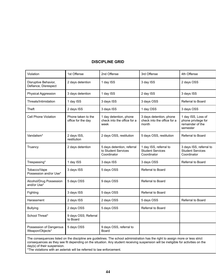#### **DISCIPLINE GRID**

| Violation                                    | 1st Offense                              | 2nd Offense                                                      | 3rd Offense                                                      | 4th Offense                                                               |
|----------------------------------------------|------------------------------------------|------------------------------------------------------------------|------------------------------------------------------------------|---------------------------------------------------------------------------|
| Disruptive Behavior,<br>Defiance, Disrespect | 2 days detention                         | 1 day ISS                                                        | 3 day ISS                                                        | 2 days OSS                                                                |
| Physical Aggression                          | 3 days detention                         | 1 day ISS                                                        | 2 day ISS                                                        | 3 days ISS                                                                |
| Threats/Intimidation                         | 1 day ISS                                | 3 days ISS                                                       | 3 days OSS                                                       | Referral to Board                                                         |
| Theft                                        | 2 days ISS                               | 3 days ISS                                                       | 1 day OSS                                                        | 3 days OSS                                                                |
| <b>Cell Phone Violation</b>                  | Phone taken to the<br>office for the day | 1 day detention, phone<br>check into the office for a<br>week    | 3 days detention, phone<br>check into the office for a<br>month  | 1 day ISS, Loss of<br>phone privilege for<br>remainder of the<br>semester |
| Vandalism*                                   | 2 days ISS,<br>restitution               | 2 days OSS, restitution                                          | 5 days OSS, restitution                                          | Referral to Board                                                         |
| Truancy                                      | 2 days detention                         | 5 days detention, referral<br>to Student Services<br>Coordinator | 1 day ISS, referral to<br><b>Student Services</b><br>Coordinator | 3 days ISS, referral to<br><b>Student Services</b><br>Coordinator         |
| Trespassing*                                 | 1 day ISS                                | 3 days ISS                                                       | 3 days OSS                                                       | Referral to Board                                                         |
| Tobacco/Vape<br>Possession and/or Use*       | 3 days ISS                               | 5 days OSS                                                       | Referral to Board                                                |                                                                           |
| Alcohol/Drug Possession<br>and/or Use*       | 5 days OSS                               | 9 days OSS                                                       | Referral to Board                                                |                                                                           |
| Fighting                                     | 3 days ISS                               | 5 days OSS                                                       | Referral to Board                                                |                                                                           |
| Harassment                                   | 2 days ISS                               | 2 days OSS                                                       | 5 days OSS                                                       | Referral to Board                                                         |
| <b>Bullying</b>                              | 2 days OSS                               | 5 days OSS                                                       | Referral to Board                                                |                                                                           |
| School Threat*                               | 9 days OSS; Referral<br>to Board         |                                                                  |                                                                  |                                                                           |
| Possession of Dangerous<br>Weapon/Objects*   | 5 days OSS                               | 9 days OSS, referral to<br>Board                                 |                                                                  |                                                                           |

The consequences listed on the discipline are guidelines. The school administration has the right to assign more or less strict consequences as they see fit depending on the situation. Any student receiving suspension will be ineligible for activities on the day(s) of their suspension.

\*The violations with an asterisk will be referred to law enforcement.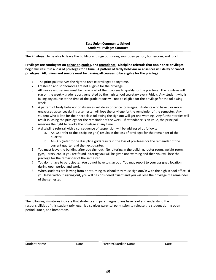#### **East Union Community School Student Privileges Contract**

**The Privilege**: To be able to leave the building and sign out during your open period, homeroom, and lunch.

**Privileges are contingent on behavior, grades, and attendance. Discipline referrals that occur once privileges** begin will result in a loss of privileges for a time. A pattern of tardy behavior or absences will delay or cancel **privileges. All juniors and seniors must be passing all courses to be eligible for the privilege.**

- 1. The principal reserves the right to revoke privileges at any time.
- 2. Freshmen and sophomores are not eligible for the privilege.
- 3. All juniors and seniors must be passing all of their courses to qualify for the privilege. The privilege will run on the weekly grade report generated by the high school secretary every Friday. Any student who is failing any course at the time of the grade report will not be eligible for the privilege for the following week.
- 4. A pattern of tardy behavior or absences will delay or cancel privileges**.** Students who have 3 or more unexcused absences during a semester will lose the privilege for the remainder of the semester. Any student who is late for their next class following the sign out will get one warning. Any further tardies will result in losing the privilege for the remainder of the week. If attendance is an issue, the principal reserves the right to revoke the privilege at any time.
- 5. A discipline referral with a consequence of suspension will be addressed as follows:
	- a. An ISS (refer to the discipline grid) results in the loss of privileges for the remainder of the quarter.
	- b. An OSS (refer to the discipline grid) results in the loss of privileges for the remainder of the current quarter and the next quarter.
- 6. You must leave the building after you sign out. No loitering in the building, locker room, weight room, gym, library, etc. If you are found loitering you will be given one warning and then you will lose the privilege for the remainder of the semester.
- 7. You don't have to participate. You do not have to sign out. You may report to your assigned location during open period and work.
- 8. When students are leaving from or returning to school they must sign out/in with the high school office. If you leave without signing out, you will be considered truant and you will lose the privilege the remainder of the semester.

The following signatures indicate that students and parents/guardians have read and understand the responsibilities of this student privilege. It also gives parental permission to release the student during open period, lunch, and homeroom.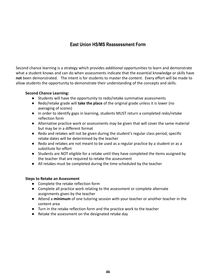### **East Union HS/MS Reassessment Form**

Second chance learning is a strategy which provides *additional* opportunities to learn and demonstrate what a student knows and can do when assessments indicate that the essential knowledge or skills have **not** been demonstrated. The intent is for students to master the content. Every effort will be made to allow students the opportunity to demonstrate their understanding of the concepts and skills.

#### **Second Chance Learning:**

- Students will have the opportunity to redo/retake summative assessments
- Redo/retake grade will **take the place** of the original grade unless it is lower (no averaging of scores)
- In order to identify gaps in learning, students MUST return a completed redo/retake reflection form
- Alternative practice work or assessments may be given that will cover the same material but may be in a different format
- Redo and retakes will not be given during the student's regular class period, specific retake dates will be determined by the teacher
- Redo and retakes are not meant to be used as a regular practice by a student or as a substitute for effort
- Students are NOT eligible for a retake until they have completed the items assigned by the teacher that are required to retake the assessment
- All retakes must be completed during the time scheduled by the teacher

#### **Steps to Retake an Assessment**

- Complete the retake reflection form
- Complete all practice work relating to the assessment or complete alternate assignments given by the teacher
- Attend a **minimum** of one tutoring session with your teacher or another teacher in the content area
- Turn in the retake reflection form and the practice work to the teacher
- Retake the assessment on the designated retake day